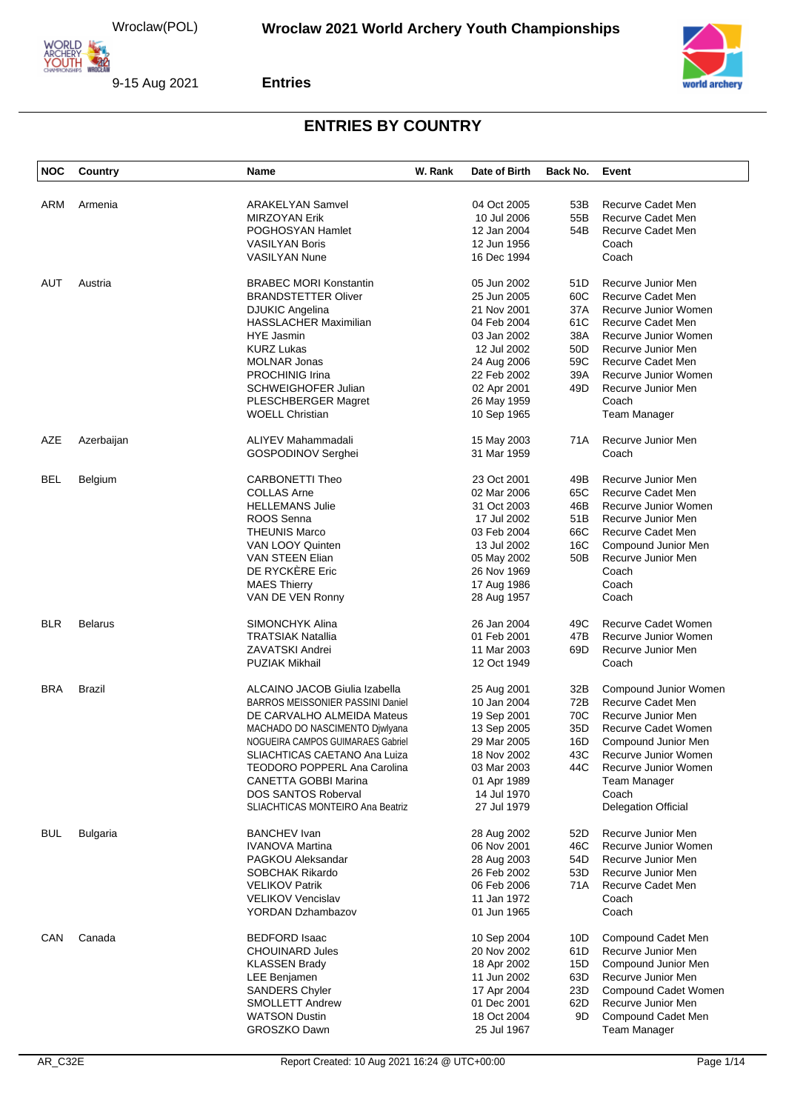



#### **Entries**

| <b>NOC</b> | Country         | <b>Name</b>                             | W. Rank | Date of Birth | Back No. | Event                      |
|------------|-----------------|-----------------------------------------|---------|---------------|----------|----------------------------|
|            |                 |                                         |         |               |          |                            |
| ARM        | Armenia         | <b>ARAKELYAN Samvel</b>                 |         | 04 Oct 2005   | 53B      | Recurve Cadet Men          |
|            |                 | <b>MIRZOYAN Erik</b>                    |         | 10 Jul 2006   | 55B      | Recurve Cadet Men          |
|            |                 | POGHOSYAN Hamlet                        |         | 12 Jan 2004   | 54B      | Recurve Cadet Men          |
|            |                 | <b>VASILYAN Boris</b>                   |         | 12 Jun 1956   |          | Coach                      |
|            |                 | <b>VASILYAN Nune</b>                    |         | 16 Dec 1994   |          | Coach                      |
| AUT        | Austria         | <b>BRABEC MORI Konstantin</b>           |         | 05 Jun 2002   | 51D      | Recurve Junior Men         |
|            |                 | <b>BRANDSTETTER Oliver</b>              |         | 25 Jun 2005   | 60C      | Recurve Cadet Men          |
|            |                 |                                         |         |               |          |                            |
|            |                 | DJUKIC Angelina                         |         | 21 Nov 2001   | 37A      | Recurve Junior Women       |
|            |                 | <b>HASSLACHER Maximilian</b>            |         | 04 Feb 2004   | 61C      | <b>Recurve Cadet Men</b>   |
|            |                 | <b>HYE Jasmin</b>                       |         | 03 Jan 2002   | 38A      | Recurve Junior Women       |
|            |                 | <b>KURZ Lukas</b>                       |         | 12 Jul 2002   | 50D      | Recurve Junior Men         |
|            |                 | <b>MOLNAR Jonas</b>                     |         | 24 Aug 2006   | 59C      | Recurve Cadet Men          |
|            |                 | <b>PROCHINIG Irina</b>                  |         | 22 Feb 2002   | 39A      | Recurve Junior Women       |
|            |                 | <b>SCHWEIGHOFER Julian</b>              |         | 02 Apr 2001   | 49D      | Recurve Junior Men         |
|            |                 | PLESCHBERGER Magret                     |         | 26 May 1959   |          | Coach                      |
|            |                 | <b>WOELL Christian</b>                  |         | 10 Sep 1965   |          | Team Manager               |
|            |                 |                                         |         |               |          |                            |
| AZE        | Azerbaijan      | <b>ALIYEV Mahammadali</b>               |         | 15 May 2003   | 71A      | Recurve Junior Men         |
|            |                 | <b>GOSPODINOV Serghei</b>               |         | 31 Mar 1959   |          | Coach                      |
| <b>BEL</b> | Belgium         | <b>CARBONETTI Theo</b>                  |         | 23 Oct 2001   | 49B      | Recurve Junior Men         |
|            |                 | <b>COLLAS Arne</b>                      |         | 02 Mar 2006   | 65C      | Recurve Cadet Men          |
|            |                 | <b>HELLEMANS Julie</b>                  |         | 31 Oct 2003   | 46B      | Recurve Junior Women       |
|            |                 | ROOS Senna                              |         | 17 Jul 2002   | 51B      | Recurve Junior Men         |
|            |                 | <b>THEUNIS Marco</b>                    |         | 03 Feb 2004   | 66C      | <b>Recurve Cadet Men</b>   |
|            |                 | VAN LOOY Quinten                        |         | 13 Jul 2002   | 16C      | Compound Junior Men        |
|            |                 |                                         |         |               | 50B      | Recurve Junior Men         |
|            |                 | VAN STEEN Elian                         |         | 05 May 2002   |          |                            |
|            |                 | DE RYCKÈRE Eric                         |         | 26 Nov 1969   |          | Coach                      |
|            |                 | <b>MAES Thierry</b>                     |         | 17 Aug 1986   |          | Coach                      |
|            |                 | VAN DE VEN Ronny                        |         | 28 Aug 1957   |          | Coach                      |
| <b>BLR</b> | <b>Belarus</b>  | SIMONCHYK Alina                         |         | 26 Jan 2004   | 49C      | Recurve Cadet Women        |
|            |                 | <b>TRATSIAK Natallia</b>                |         | 01 Feb 2001   | 47B      | Recurve Junior Women       |
|            |                 | <b>ZAVATSKI Andrei</b>                  |         | 11 Mar 2003   | 69D      | Recurve Junior Men         |
|            |                 | <b>PUZIAK Mikhail</b>                   |         | 12 Oct 1949   |          | Coach                      |
| <b>BRA</b> | <b>Brazil</b>   | ALCAINO JACOB Giulia Izabella           |         | 25 Aug 2001   | 32B      | Compound Junior Women      |
|            |                 | <b>BARROS MEISSONIER PASSINI Daniel</b> |         | 10 Jan 2004   | 72B      | Recurve Cadet Men          |
|            |                 | DE CARVALHO ALMEIDA Mateus              |         | 19 Sep 2001   | 70C      | Recurve Junior Men         |
|            |                 | MACHADO DO NASCIMENTO Djwlyana          |         | 13 Sep 2005   | 35D      | <b>Recurve Cadet Women</b> |
|            |                 |                                         |         |               |          | Compound Junior Men        |
|            |                 | NOGUEIRA CAMPOS GUIMARAES Gabriel       |         | 29 Mar 2005   | 16D      |                            |
|            |                 | SLIACHTICAS CAETANO Ana Luiza           |         | 18 Nov 2002   | 43C      | Recurve Junior Women       |
|            |                 | TEODORO POPPERL Ana Carolina            |         | 03 Mar 2003   | 44C      | Recurve Junior Women       |
|            |                 | <b>CANETTA GOBBI Marina</b>             |         | 01 Apr 1989   |          | Team Manager               |
|            |                 | <b>DOS SANTOS Roberval</b>              |         | 14 Jul 1970   |          | Coach                      |
|            |                 | SLIACHTICAS MONTEIRO Ana Beatriz        |         | 27 Jul 1979   |          | <b>Delegation Official</b> |
| <b>BUL</b> | <b>Bulgaria</b> | <b>BANCHEV</b> Ivan                     |         | 28 Aug 2002   | 52D      | Recurve Junior Men         |
|            |                 | <b>IVANOVA Martina</b>                  |         | 06 Nov 2001   | 46C      | Recurve Junior Women       |
|            |                 | PAGKOU Aleksandar                       |         | 28 Aug 2003   | 54D      | Recurve Junior Men         |
|            |                 | <b>SOBCHAK Rikardo</b>                  |         | 26 Feb 2002   | 53D      | Recurve Junior Men         |
|            |                 | <b>VELIKOV Patrik</b>                   |         | 06 Feb 2006   | 71A      | Recurve Cadet Men          |
|            |                 | <b>VELIKOV Vencislav</b>                |         | 11 Jan 1972   |          | Coach                      |
|            |                 | <b>YORDAN Dzhambazov</b>                |         | 01 Jun 1965   |          | Coach                      |
|            |                 |                                         |         |               |          |                            |
| CAN        | Canada          | <b>BEDFORD Isaac</b>                    |         | 10 Sep 2004   | 10D      | Compound Cadet Men         |
|            |                 | <b>CHOUINARD Jules</b>                  |         | 20 Nov 2002   | 61D      | Recurve Junior Men         |
|            |                 | <b>KLASSEN Brady</b>                    |         | 18 Apr 2002   | 15D      | Compound Junior Men        |
|            |                 | LEE Benjamen                            |         | 11 Jun 2002   | 63D      | Recurve Junior Men         |
|            |                 | <b>SANDERS Chyler</b>                   |         | 17 Apr 2004   | 23D      | Compound Cadet Women       |
|            |                 | <b>SMOLLETT Andrew</b>                  |         | 01 Dec 2001   | 62D      | Recurve Junior Men         |
|            |                 | <b>WATSON Dustin</b>                    |         | 18 Oct 2004   | 9D       | Compound Cadet Men         |
|            |                 | GROSZKO Dawn                            |         |               |          |                            |
|            |                 |                                         |         | 25 Jul 1967   |          | Team Manager               |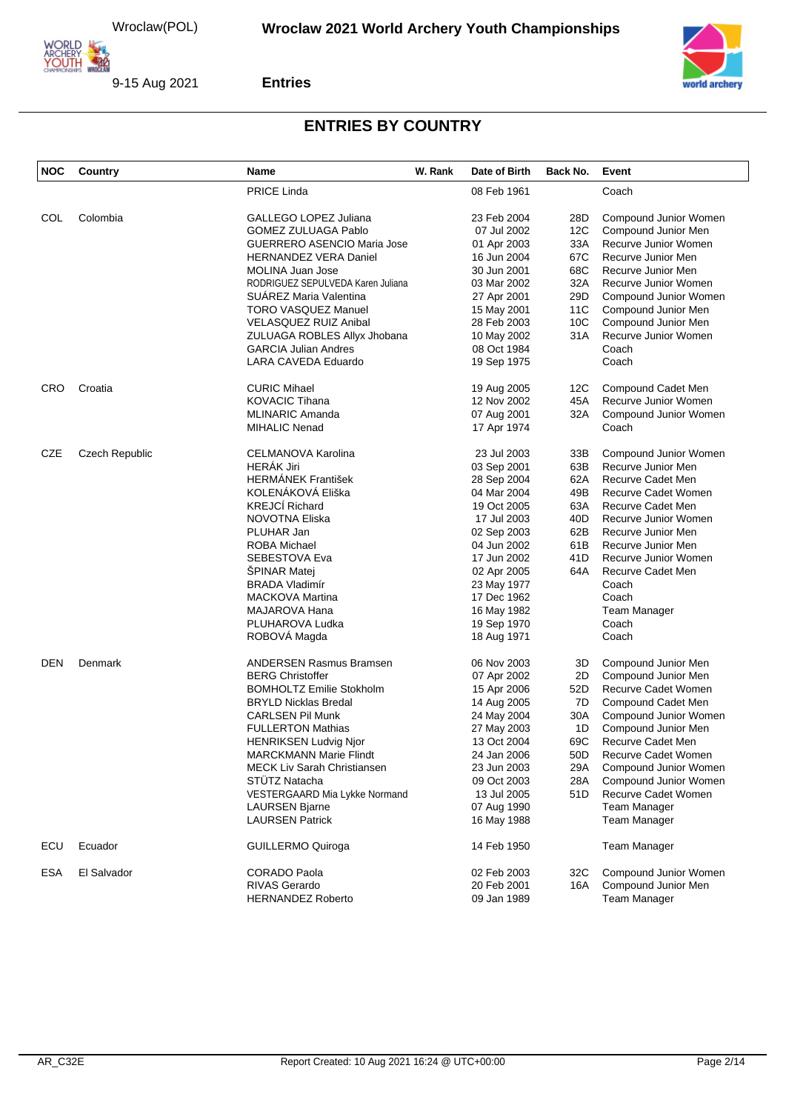





| <b>NOC</b> | <b>Country</b> | <b>Name</b>                        | W. Rank | Date of Birth | Back No.        | Event                 |
|------------|----------------|------------------------------------|---------|---------------|-----------------|-----------------------|
|            |                | <b>PRICE Linda</b>                 |         | 08 Feb 1961   |                 | Coach                 |
| COL        | Colombia       | GALLEGO LOPEZ Juliana              |         | 23 Feb 2004   | 28D             | Compound Junior Women |
|            |                | <b>GOMEZ ZULUAGA Pablo</b>         |         | 07 Jul 2002   | 12C             | Compound Junior Men   |
|            |                | <b>GUERRERO ASENCIO Maria Jose</b> |         | 01 Apr 2003   | 33A             | Recurve Junior Women  |
|            |                | <b>HERNANDEZ VERA Daniel</b>       |         | 16 Jun 2004   | 67C             | Recurve Junior Men    |
|            |                | MOLINA Juan Jose                   |         | 30 Jun 2001   | 68C             | Recurve Junior Men    |
|            |                | RODRIGUEZ SEPULVEDA Karen Juliana  |         | 03 Mar 2002   | 32A             | Recurve Junior Women  |
|            |                | SUÁREZ Maria Valentina             |         | 27 Apr 2001   | 29D             | Compound Junior Women |
|            |                | TORO VASQUEZ Manuel                |         |               | 11C             | Compound Junior Men   |
|            |                |                                    |         | 15 May 2001   |                 |                       |
|            |                | VELASQUEZ RUIZ Anibal              |         | 28 Feb 2003   | 10C             | Compound Junior Men   |
|            |                | ZULUAGA ROBLES Allyx Jhobana       |         | 10 May 2002   | 31A             | Recurve Junior Women  |
|            |                | <b>GARCIA Julian Andres</b>        |         | 08 Oct 1984   |                 | Coach                 |
|            |                | LARA CAVEDA Eduardo                |         | 19 Sep 1975   |                 | Coach                 |
| <b>CRO</b> | Croatia        | <b>CURIC Mihael</b>                |         | 19 Aug 2005   | 12C             | Compound Cadet Men    |
|            |                | <b>KOVACIC Tihana</b>              |         | 12 Nov 2002   | 45A             | Recurve Junior Women  |
|            |                | <b>MLINARIC Amanda</b>             |         | 07 Aug 2001   | 32A             | Compound Junior Women |
|            |                | <b>MIHALIC Nenad</b>               |         | 17 Apr 1974   |                 | Coach                 |
| <b>CZE</b> | Czech Republic | CELMANOVA Karolina                 |         | 23 Jul 2003   | 33B             | Compound Junior Women |
|            |                | <b>HERÁK Jiri</b>                  |         | 03 Sep 2001   | 63B             | Recurve Junior Men    |
|            |                | <b>HERMÁNEK František</b>          |         | 28 Sep 2004   | 62A             | Recurve Cadet Men     |
|            |                | KOLENÁKOVÁ Eliška                  |         | 04 Mar 2004   | 49B             | Recurve Cadet Women   |
|            |                | <b>KREJCÍ Richard</b>              |         | 19 Oct 2005   | 63A             | Recurve Cadet Men     |
|            |                | NOVOTNA Eliska                     |         | 17 Jul 2003   | 40D             | Recurve Junior Women  |
|            |                | PLUHAR Jan                         |         | 02 Sep 2003   | 62B             | Recurve Junior Men    |
|            |                | <b>ROBA Michael</b>                |         | 04 Jun 2002   | 61B             | Recurve Junior Men    |
|            |                | SEBESTOVA Eva                      |         | 17 Jun 2002   | 41 D            | Recurve Junior Women  |
|            |                | <b>SPINAR Matej</b>                |         |               | 64A             | Recurve Cadet Men     |
|            |                | <b>BRADA Vladimír</b>              |         | 02 Apr 2005   |                 | Coach                 |
|            |                |                                    |         | 23 May 1977   |                 |                       |
|            |                | <b>MACKOVA Martina</b>             |         | 17 Dec 1962   |                 | Coach                 |
|            |                | MAJAROVA Hana                      |         | 16 May 1982   |                 | <b>Team Manager</b>   |
|            |                | PLUHAROVA Ludka                    |         | 19 Sep 1970   |                 | Coach                 |
|            |                | ROBOVA Magda                       |         | 18 Aug 1971   |                 | Coach                 |
| DEN        | Denmark        | <b>ANDERSEN Rasmus Bramsen</b>     |         | 06 Nov 2003   | 3D              | Compound Junior Men   |
|            |                | <b>BERG Christoffer</b>            |         | 07 Apr 2002   | 2D              | Compound Junior Men   |
|            |                | <b>BOMHOLTZ Emilie Stokholm</b>    |         | 15 Apr 2006   | 52D             | Recurve Cadet Women   |
|            |                | <b>BRYLD Nicklas Bredal</b>        |         | 14 Aug 2005   | 7D              | Compound Cadet Men    |
|            |                | <b>CARLSEN Pil Munk</b>            |         | 24 May 2004   | 30A             | Compound Junior Women |
|            |                | <b>FULLERTON Mathias</b>           |         | 27 May 2003   | 1D              | Compound Junior Men   |
|            |                | <b>HENRIKSEN Ludvig Njor</b>       |         | 13 Oct 2004   | 69C             | Recurve Cadet Men     |
|            |                | <b>MARCKMANN Marie Flindt</b>      |         | 24 Jan 2006   | 50 <sub>D</sub> | Recurve Cadet Women   |
|            |                | <b>MECK Liv Sarah Christiansen</b> |         | 23 Jun 2003   | 29A             | Compound Junior Women |
|            |                | <b>STUTZ Natacha</b>               |         | 09 Oct 2003   | 28A             | Compound Junior Women |
|            |                | VESTERGAARD Mia Lykke Normand      |         | 13 Jul 2005   | 51D             | Recurve Cadet Women   |
|            |                | <b>LAURSEN Bjarne</b>              |         | 07 Aug 1990   |                 | <b>Team Manager</b>   |
|            |                | <b>LAURSEN Patrick</b>             |         | 16 May 1988   |                 | Team Manager          |
| ECU        | Ecuador        | <b>GUILLERMO Quiroga</b>           |         | 14 Feb 1950   |                 | Team Manager          |
| <b>ESA</b> | El Salvador    | CORADO Paola                       |         | 02 Feb 2003   | 32C             | Compound Junior Women |
|            |                | RIVAS Gerardo                      |         | 20 Feb 2001   | 16A             | Compound Junior Men   |
|            |                | <b>HERNANDEZ Roberto</b>           |         | 09 Jan 1989   |                 | Team Manager          |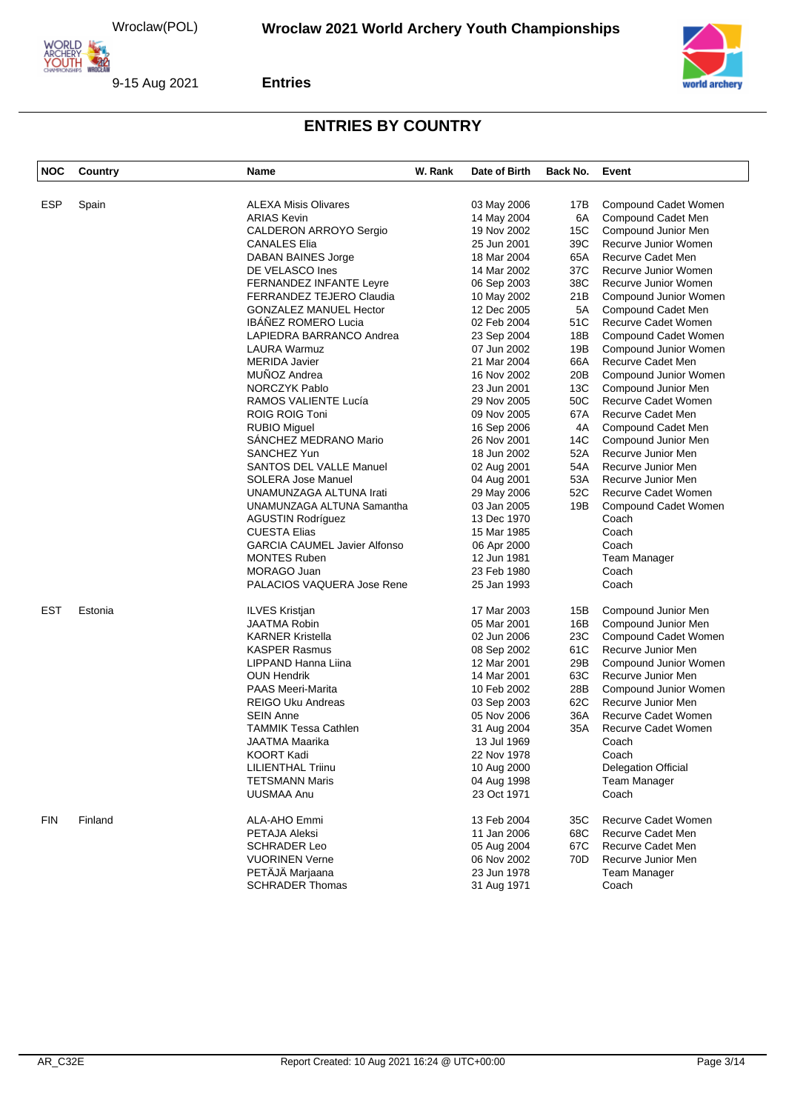



#### **Entries**

| <b>NOC</b> | Country | Name                                | W. Rank | Date of Birth | Back No. | Event                      |
|------------|---------|-------------------------------------|---------|---------------|----------|----------------------------|
|            |         |                                     |         |               |          |                            |
| <b>ESP</b> | Spain   | <b>ALEXA Misis Olivares</b>         |         | 03 May 2006   | 17B      | Compound Cadet Women       |
|            |         | <b>ARIAS Kevin</b>                  |         | 14 May 2004   | 6A       | Compound Cadet Men         |
|            |         | CALDERON ARROYO Sergio              |         | 19 Nov 2002   | 15C      | Compound Junior Men        |
|            |         | <b>CANALES Elia</b>                 |         | 25 Jun 2001   | 39C      | Recurve Junior Women       |
|            |         | DABAN BAINES Jorge                  |         | 18 Mar 2004   | 65A      | Recurve Cadet Men          |
|            |         | DE VELASCO Ines                     |         | 14 Mar 2002   | 37C      | Recurve Junior Women       |
|            |         | FERNANDEZ INFANTE Leyre             |         | 06 Sep 2003   | 38C      | Recurve Junior Women       |
|            |         | FERRANDEZ TEJERO Claudia            |         | 10 May 2002   | 21B      | Compound Junior Women      |
|            |         | <b>GONZALEZ MANUEL Hector</b>       |         | 12 Dec 2005   | 5A       | Compound Cadet Men         |
|            |         | IBÁÑEZ ROMERO Lucia                 |         | 02 Feb 2004   | 51C      | Recurve Cadet Women        |
|            |         | LAPIEDRA BARRANCO Andrea            |         | 23 Sep 2004   | 18B      | Compound Cadet Women       |
|            |         | LAURA Warmuz                        |         | 07 Jun 2002   | 19B      | Compound Junior Women      |
|            |         | <b>MERIDA Javier</b>                |         | 21 Mar 2004   | 66A      | Recurve Cadet Men          |
|            |         | MUÑOZ Andrea                        |         | 16 Nov 2002   | 20B      | Compound Junior Women      |
|            |         | <b>NORCZYK Pablo</b>                |         | 23 Jun 2001   | 13C      | Compound Junior Men        |
|            |         | RAMOS VALIENTE Lucía                |         | 29 Nov 2005   | 50C      | Recurve Cadet Women        |
|            |         | ROIG ROIG Toni                      |         | 09 Nov 2005   | 67A      | Recurve Cadet Men          |
|            |         | <b>RUBIO Miguel</b>                 |         | 16 Sep 2006   | 4A       | Compound Cadet Men         |
|            |         | SANCHEZ MEDRANO Mario               |         | 26 Nov 2001   | 14C      | Compound Junior Men        |
|            |         | <b>SANCHEZ Yun</b>                  |         | 18 Jun 2002   | 52A      | Recurve Junior Men         |
|            |         | <b>SANTOS DEL VALLE Manuel</b>      |         | 02 Aug 2001   | 54A      | Recurve Junior Men         |
|            |         | SOLERA Jose Manuel                  |         | 04 Aug 2001   | 53A      | Recurve Junior Men         |
|            |         | UNAMUNZAGA ALTUNA Irati             |         | 29 May 2006   | 52C      | Recurve Cadet Women        |
|            |         | UNAMUNZAGA ALTUNA Samantha          |         | 03 Jan 2005   | 19B      | Compound Cadet Women       |
|            |         | <b>AGUSTIN Rodríguez</b>            |         | 13 Dec 1970   |          | Coach                      |
|            |         | <b>CUESTA Elias</b>                 |         | 15 Mar 1985   |          | Coach                      |
|            |         | <b>GARCIA CAUMEL Javier Alfonso</b> |         | 06 Apr 2000   |          | Coach                      |
|            |         | <b>MONTES Ruben</b>                 |         | 12 Jun 1981   |          | Team Manager               |
|            |         | MORAGO Juan                         |         | 23 Feb 1980   |          | Coach                      |
|            |         | PALACIOS VAQUERA Jose Rene          |         | 25 Jan 1993   |          | Coach                      |
| <b>EST</b> | Estonia | <b>ILVES Kristjan</b>               |         | 17 Mar 2003   | 15B      | Compound Junior Men        |
|            |         | <b>JAATMA Robin</b>                 |         | 05 Mar 2001   | 16B      | Compound Junior Men        |
|            |         | <b>KARNER Kristella</b>             |         | 02 Jun 2006   | 23C      | Compound Cadet Women       |
|            |         | <b>KASPER Rasmus</b>                |         | 08 Sep 2002   | 61C      | Recurve Junior Men         |
|            |         | LIPPAND Hanna Liina                 |         | 12 Mar 2001   | 29B      | Compound Junior Women      |
|            |         | <b>OUN Hendrik</b>                  |         | 14 Mar 2001   | 63C      | Recurve Junior Men         |
|            |         | <b>PAAS Meeri-Marita</b>            |         | 10 Feb 2002   | 28B      | Compound Junior Women      |
|            |         | <b>REIGO Uku Andreas</b>            |         | 03 Sep 2003   | 62C      | Recurve Junior Men         |
|            |         | <b>SEIN Anne</b>                    |         | 05 Nov 2006   | 36A      | Recurve Cadet Women        |
|            |         | <b>TAMMIK Tessa Cathlen</b>         |         | 31 Aug 2004   | 35A      | <b>Recurve Cadet Women</b> |
|            |         | JAATMA Maarika                      |         | 13 Jul 1969   |          | Coach                      |
|            |         | KOORT Kadi                          |         | 22 Nov 1978   |          | Coach                      |
|            |         | <b>LILIENTHAL Triinu</b>            |         | 10 Aug 2000   |          | <b>Delegation Official</b> |
|            |         | <b>TETSMANN Maris</b>               |         | 04 Aug 1998   |          | <b>Team Manager</b>        |
|            |         | UUSMAA Anu                          |         | 23 Oct 1971   |          | Coach                      |
| <b>FIN</b> | Finland | ALA-AHO Emmi                        |         | 13 Feb 2004   | 35C      | Recurve Cadet Women        |
|            |         | PETAJA Aleksi                       |         | 11 Jan 2006   | 68C      | Recurve Cadet Men          |
|            |         | <b>SCHRADER Leo</b>                 |         | 05 Aug 2004   | 67C      | Recurve Cadet Men          |
|            |         | <b>VUORINEN Verne</b>               |         | 06 Nov 2002   | 70D      | Recurve Junior Men         |
|            |         | PETÄJÄ Marjaana                     |         | 23 Jun 1978   |          | Team Manager               |
|            |         | <b>SCHRADER Thomas</b>              |         | 31 Aug 1971   |          | Coach                      |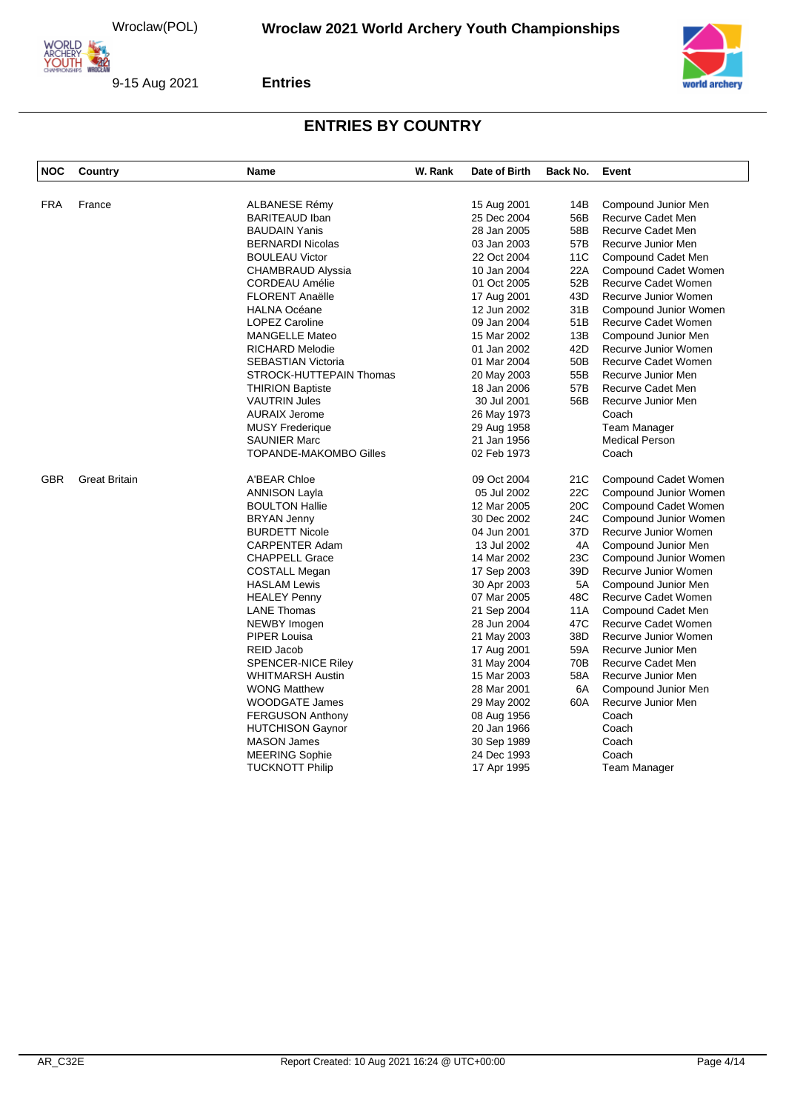





| NOC        | Country              | <b>Name</b>               | W. Rank | Date of Birth | Back No. | Event                      |
|------------|----------------------|---------------------------|---------|---------------|----------|----------------------------|
|            |                      |                           |         |               |          |                            |
| <b>FRA</b> | France               | <b>ALBANESE Rémy</b>      |         | 15 Aug 2001   | 14B      | Compound Junior Men        |
|            |                      | <b>BARITEAUD Iban</b>     |         | 25 Dec 2004   | 56B      | Recurve Cadet Men          |
|            |                      | <b>BAUDAIN Yanis</b>      |         | 28 Jan 2005   | 58B      | Recurve Cadet Men          |
|            |                      | <b>BERNARDI Nicolas</b>   |         | 03 Jan 2003   | 57B      | Recurve Junior Men         |
|            |                      | <b>BOULEAU Victor</b>     |         | 22 Oct 2004   | 11C      | Compound Cadet Men         |
|            |                      | <b>CHAMBRAUD Alyssia</b>  |         | 10 Jan 2004   | 22A      | Compound Cadet Women       |
|            |                      | <b>CORDEAU Amélie</b>     |         | 01 Oct 2005   | 52B      | Recurve Cadet Women        |
|            |                      | <b>FLORENT Anaëlle</b>    |         | 17 Aug 2001   | 43D      | Recurve Junior Women       |
|            |                      | <b>HALNA Océane</b>       |         | 12 Jun 2002   | 31B      | Compound Junior Women      |
|            |                      | <b>LOPEZ Caroline</b>     |         | 09 Jan 2004   | 51B      | Recurve Cadet Women        |
|            |                      | <b>MANGELLE Mateo</b>     |         | 15 Mar 2002   | 13B      | Compound Junior Men        |
|            |                      | <b>RICHARD Melodie</b>    |         | 01 Jan 2002   | 42D      | Recurve Junior Women       |
|            |                      | <b>SEBASTIAN Victoria</b> |         | 01 Mar 2004   | 50B      | <b>Recurve Cadet Women</b> |
|            |                      | STROCK-HUTTEPAIN Thomas   |         | 20 May 2003   | 55B      | Recurve Junior Men         |
|            |                      | <b>THIRION Baptiste</b>   |         | 18 Jan 2006   | 57B      | Recurve Cadet Men          |
|            |                      | <b>VAUTRIN Jules</b>      |         | 30 Jul 2001   | 56B      | Recurve Junior Men         |
|            |                      | <b>AURAIX Jerome</b>      |         | 26 May 1973   |          | Coach                      |
|            |                      | <b>MUSY Frederique</b>    |         | 29 Aug 1958   |          | Team Manager               |
|            |                      | <b>SAUNIER Marc</b>       |         | 21 Jan 1956   |          | <b>Medical Person</b>      |
|            |                      | TOPANDE-MAKOMBO Gilles    |         | 02 Feb 1973   |          | Coach                      |
| <b>GBR</b> | <b>Great Britain</b> | A'BEAR Chloe              |         | 09 Oct 2004   | 21C      | Compound Cadet Women       |
|            |                      | <b>ANNISON Layla</b>      |         | 05 Jul 2002   | 22C      | Compound Junior Women      |
|            |                      | <b>BOULTON Hallie</b>     |         | 12 Mar 2005   | 20C      | Compound Cadet Women       |
|            |                      | <b>BRYAN Jenny</b>        |         | 30 Dec 2002   | 24C      | Compound Junior Women      |
|            |                      | <b>BURDETT Nicole</b>     |         | 04 Jun 2001   | 37D      | Recurve Junior Women       |
|            |                      | CARPENTER Adam            |         | 13 Jul 2002   | 4A       | Compound Junior Men        |
|            |                      | <b>CHAPPELL Grace</b>     |         | 14 Mar 2002   | 23C      | Compound Junior Women      |
|            |                      | <b>COSTALL Megan</b>      |         | 17 Sep 2003   | 39D      | Recurve Junior Women       |
|            |                      | <b>HASLAM Lewis</b>       |         | 30 Apr 2003   | 5A       | Compound Junior Men        |
|            |                      | <b>HEALEY Penny</b>       |         | 07 Mar 2005   | 48C      | Recurve Cadet Women        |
|            |                      | <b>LANE Thomas</b>        |         | 21 Sep 2004   | 11A      | Compound Cadet Men         |
|            |                      | NEWBY Imogen              |         | 28 Jun 2004   | 47C      | Recurve Cadet Women        |
|            |                      | <b>PIPER Louisa</b>       |         | 21 May 2003   | 38D      | Recurve Junior Women       |
|            |                      | REID Jacob                |         | 17 Aug 2001   | 59A      | Recurve Junior Men         |
|            |                      | SPENCER-NICE Riley        |         | 31 May 2004   | 70B      | Recurve Cadet Men          |
|            |                      | <b>WHITMARSH Austin</b>   |         | 15 Mar 2003   | 58A      | Recurve Junior Men         |
|            |                      | <b>WONG Matthew</b>       |         | 28 Mar 2001   | 6A       | Compound Junior Men        |
|            |                      | WOODGATE James            |         | 29 May 2002   | 60A      | Recurve Junior Men         |
|            |                      | <b>FERGUSON Anthony</b>   |         | 08 Aug 1956   |          | Coach                      |
|            |                      | <b>HUTCHISON Gaynor</b>   |         | 20 Jan 1966   |          | Coach                      |
|            |                      | <b>MASON James</b>        |         | 30 Sep 1989   |          | Coach                      |
|            |                      | <b>MEERING Sophie</b>     |         | 24 Dec 1993   |          | Coach                      |
|            |                      | <b>TUCKNOTT Philip</b>    |         | 17 Apr 1995   |          | Team Manager               |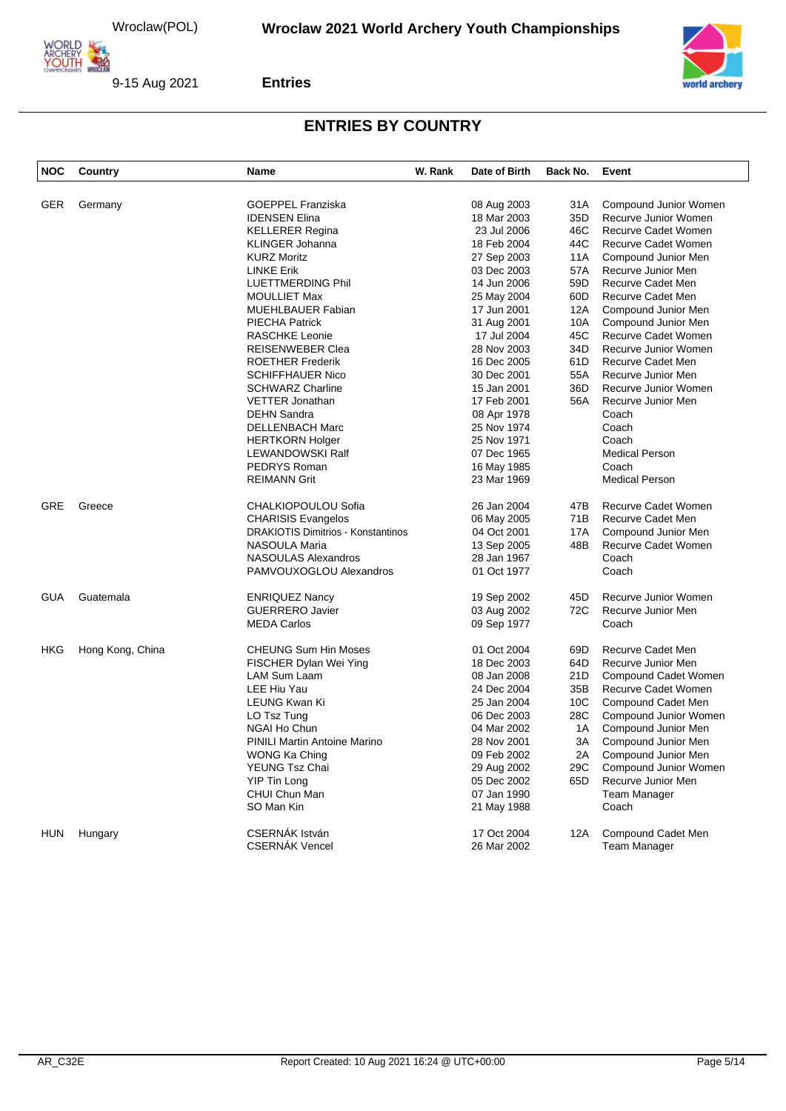

9-15 Aug 2021



#### **Entries**

| <b>NOC</b> | Country          | <b>Name</b>                               | W. Rank | Date of Birth              | Back No.        | Event                                         |
|------------|------------------|-------------------------------------------|---------|----------------------------|-----------------|-----------------------------------------------|
|            |                  | <b>GOEPPEL Franziska</b>                  |         |                            |                 |                                               |
| <b>GER</b> | Germany          | <b>IDENSEN Elina</b>                      |         | 08 Aug 2003<br>18 Mar 2003 | 31A<br>35D      | Compound Junior Women<br>Recurve Junior Women |
|            |                  |                                           |         | 23 Jul 2006                | 46C             | Recurve Cadet Women                           |
|            |                  | <b>KELLERER Regina</b>                    |         | 18 Feb 2004                | 44C             |                                               |
|            |                  | <b>KLINGER Johanna</b>                    |         |                            |                 | Recurve Cadet Women                           |
|            |                  | <b>KURZ Moritz</b><br><b>LINKE Erik</b>   |         | 27 Sep 2003<br>03 Dec 2003 | 11A<br>57A      | Compound Junior Men<br>Recurve Junior Men     |
|            |                  |                                           |         | 14 Jun 2006                | 59 <sub>D</sub> | Recurve Cadet Men                             |
|            |                  | LUETTMERDING Phil                         |         |                            |                 |                                               |
|            |                  | <b>MOULLIET Max</b>                       |         | 25 May 2004                | 60 <sub>D</sub> | Recurve Cadet Men                             |
|            |                  | <b>MUEHLBAUER Fabian</b>                  |         | 17 Jun 2001                | 12A             | Compound Junior Men                           |
|            |                  | PIECHA Patrick                            |         | 31 Aug 2001                | 10A             | Compound Junior Men                           |
|            |                  | <b>RASCHKE Leonie</b>                     |         | 17 Jul 2004                | 45C             | Recurve Cadet Women                           |
|            |                  | <b>REISENWEBER Clea</b>                   |         | 28 Nov 2003                | 34D             | Recurve Junior Women                          |
|            |                  | <b>ROETHER Frederik</b>                   |         | 16 Dec 2005                | 61D             | Recurve Cadet Men                             |
|            |                  | <b>SCHIFFHAUER Nico</b>                   |         | 30 Dec 2001                | 55A             | Recurve Junior Men                            |
|            |                  | <b>SCHWARZ Charline</b>                   |         | 15 Jan 2001                | 36D             | Recurve Junior Women                          |
|            |                  | <b>VETTER Jonathan</b>                    |         | 17 Feb 2001                | 56A             | Recurve Junior Men                            |
|            |                  | <b>DEHN Sandra</b>                        |         | 08 Apr 1978                |                 | Coach                                         |
|            |                  | <b>DELLENBACH Marc</b>                    |         | 25 Nov 1974                |                 | Coach                                         |
|            |                  | <b>HERTKORN Holger</b>                    |         | 25 Nov 1971                |                 | Coach                                         |
|            |                  | LEWANDOWSKI Ralf                          |         | 07 Dec 1965                |                 | <b>Medical Person</b>                         |
|            |                  | PEDRYS Roman                              |         | 16 May 1985                |                 | Coach                                         |
|            |                  | <b>REIMANN Grit</b>                       |         | 23 Mar 1969                |                 | <b>Medical Person</b>                         |
| GRE        | Greece           | CHALKIOPOULOU Sofia                       |         | 26 Jan 2004                | 47B             | Recurve Cadet Women                           |
|            |                  | <b>CHARISIS Evangelos</b>                 |         | 06 May 2005                | 71B             | Recurve Cadet Men                             |
|            |                  | <b>DRAKIOTIS Dimitrios - Konstantinos</b> |         | 04 Oct 2001                | 17A             | Compound Junior Men                           |
|            |                  | NASOULA Maria                             |         | 13 Sep 2005                | 48B             | Recurve Cadet Women                           |
|            |                  | NASOULAS Alexandros                       |         | 28 Jan 1967                |                 | Coach                                         |
|            |                  | PAMVOUXOGLOU Alexandros                   |         | 01 Oct 1977                |                 | Coach                                         |
| <b>GUA</b> | Guatemala        | <b>ENRIQUEZ Nancy</b>                     |         | 19 Sep 2002                | 45D             | Recurve Junior Women                          |
|            |                  | <b>GUERRERO Javier</b>                    |         | 03 Aug 2002                | 72C             | Recurve Junior Men                            |
|            |                  | <b>MEDA Carlos</b>                        |         | 09 Sep 1977                |                 | Coach                                         |
| <b>HKG</b> | Hong Kong, China | <b>CHEUNG Sum Hin Moses</b>               |         | 01 Oct 2004                | 69D             | Recurve Cadet Men                             |
|            |                  | FISCHER Dylan Wei Ying                    |         | 18 Dec 2003                | 64D             | Recurve Junior Men                            |
|            |                  | LAM Sum Laam                              |         | 08 Jan 2008                | 21D             | Compound Cadet Women                          |
|            |                  | LEE Hiu Yau                               |         | 24 Dec 2004                | 35B             | Recurve Cadet Women                           |
|            |                  | LEUNG Kwan Ki                             |         | 25 Jan 2004                | 10 <sub>C</sub> | Compound Cadet Men                            |
|            |                  | LO Tsz Tung                               |         | 06 Dec 2003                | 28C             | Compound Junior Women                         |
|            |                  | NGAI Ho Chun                              |         | 04 Mar 2002                | 1A              | Compound Junior Men                           |
|            |                  | <b>PINILI Martin Antoine Marino</b>       |         | 28 Nov 2001                | 3A              | Compound Junior Men                           |
|            |                  | WONG Ka Ching                             |         | 09 Feb 2002                | 2A              | Compound Junior Men                           |
|            |                  | YEUNG Tsz Chai                            |         | 29 Aug 2002                | 29C             | Compound Junior Women                         |
|            |                  | <b>YIP Tin Long</b>                       |         | 05 Dec 2002                | 65D             | Recurve Junior Men                            |
|            |                  | CHUI Chun Man                             |         | 07 Jan 1990                |                 | <b>Team Manager</b>                           |
|            |                  | SO Man Kin                                |         | 21 May 1988                |                 | Coach                                         |
|            |                  |                                           |         |                            |                 |                                               |
| <b>HUN</b> | Hungary          | CSERNÁK István                            |         | 17 Oct 2004                | 12A             | Compound Cadet Men                            |
|            |                  | <b>CSERNAK Vencel</b>                     |         | 26 Mar 2002                |                 | Team Manager                                  |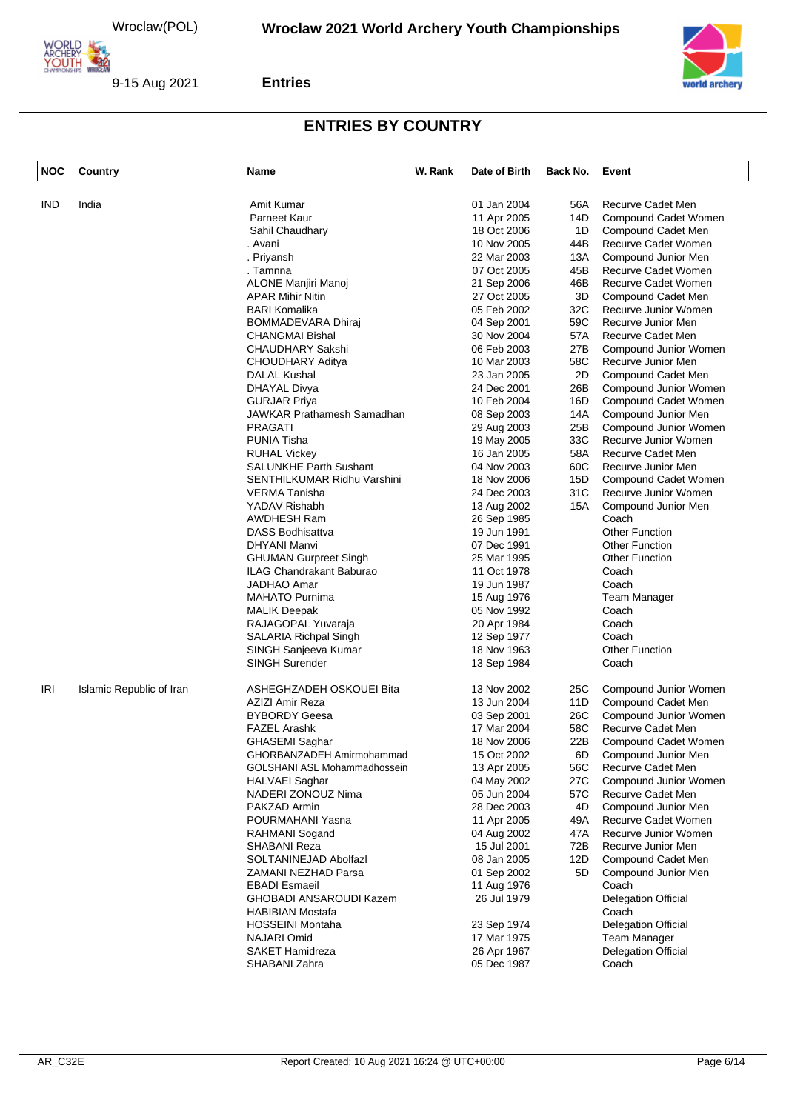

9-15 Aug 2021



#### **Entries**

| <b>NOC</b> | Country                  | Name                              | W. Rank | Date of Birth | Back No. | Event                      |
|------------|--------------------------|-----------------------------------|---------|---------------|----------|----------------------------|
| <b>IND</b> | India                    | Amit Kumar                        |         | 01 Jan 2004   | 56A      | Recurve Cadet Men          |
|            |                          | Parneet Kaur                      |         | 11 Apr 2005   | 14D      | Compound Cadet Women       |
|            |                          | Sahil Chaudhary                   |         | 18 Oct 2006   | 1D       | Compound Cadet Men         |
|            |                          | . Avani                           |         | 10 Nov 2005   | 44B      | Recurve Cadet Women        |
|            |                          | . Priyansh                        |         | 22 Mar 2003   | 13A      | Compound Junior Men        |
|            |                          | . Tamnna                          |         | 07 Oct 2005   | 45B      | Recurve Cadet Women        |
|            |                          | ALONE Manjiri Manoj               |         | 21 Sep 2006   | 46B      | Recurve Cadet Women        |
|            |                          | <b>APAR Mihir Nitin</b>           |         | 27 Oct 2005   | 3D       | Compound Cadet Men         |
|            |                          | <b>BARI Komalika</b>              |         | 05 Feb 2002   | 32C      | Recurve Junior Women       |
|            |                          | <b>BOMMADEVARA Dhiraj</b>         |         | 04 Sep 2001   | 59C      | Recurve Junior Men         |
|            |                          | <b>CHANGMAI Bishal</b>            |         | 30 Nov 2004   | 57A      | Recurve Cadet Men          |
|            |                          | <b>CHAUDHARY Sakshi</b>           |         | 06 Feb 2003   | 27B      | Compound Junior Women      |
|            |                          | CHOUDHARY Aditya                  |         | 10 Mar 2003   | 58C      | Recurve Junior Men         |
|            |                          |                                   |         | 23 Jan 2005   | 2D       |                            |
|            |                          | DALAL Kushal                      |         |               |          | Compound Cadet Men         |
|            |                          | DHAYAL Divya                      |         | 24 Dec 2001   | 26B      | Compound Junior Women      |
|            |                          | <b>GURJAR Priya</b>               |         | 10 Feb 2004   | 16D      | Compound Cadet Women       |
|            |                          | <b>JAWKAR Prathamesh Samadhan</b> |         | 08 Sep 2003   | 14A      | Compound Junior Men        |
|            |                          | <b>PRAGATI</b>                    |         | 29 Aug 2003   | 25B      | Compound Junior Women      |
|            |                          | <b>PUNIA Tisha</b>                |         | 19 May 2005   | 33C      | Recurve Junior Women       |
|            |                          | <b>RUHAL Vickey</b>               |         | 16 Jan 2005   | 58A      | Recurve Cadet Men          |
|            |                          | <b>SALUNKHE Parth Sushant</b>     |         | 04 Nov 2003   | 60C      | Recurve Junior Men         |
|            |                          | SENTHILKUMAR Ridhu Varshini       |         | 18 Nov 2006   | 15D      | Compound Cadet Women       |
|            |                          | <b>VERMA Tanisha</b>              |         | 24 Dec 2003   | 31C      | Recurve Junior Women       |
|            |                          | YADAV Rishabh                     |         | 13 Aug 2002   | 15A      | Compound Junior Men        |
|            |                          | AWDHESH Ram                       |         | 26 Sep 1985   |          | Coach                      |
|            |                          | <b>DASS Bodhisattva</b>           |         | 19 Jun 1991   |          | <b>Other Function</b>      |
|            |                          | <b>DHYANI Manvi</b>               |         | 07 Dec 1991   |          | <b>Other Function</b>      |
|            |                          | <b>GHUMAN Gurpreet Singh</b>      |         | 25 Mar 1995   |          | <b>Other Function</b>      |
|            |                          | ILAG Chandrakant Baburao          |         | 11 Oct 1978   |          | Coach                      |
|            |                          | <b>JADHAO Amar</b>                |         | 19 Jun 1987   |          | Coach                      |
|            |                          | <b>MAHATO Purnima</b>             |         | 15 Aug 1976   |          | Team Manager               |
|            |                          | <b>MALIK Deepak</b>               |         | 05 Nov 1992   |          | Coach                      |
|            |                          | RAJAGOPAL Yuvaraja                |         | 20 Apr 1984   |          | Coach                      |
|            |                          | <b>SALARIA Richpal Singh</b>      |         | 12 Sep 1977   |          | Coach                      |
|            |                          | SINGH Sanjeeva Kumar              |         | 18 Nov 1963   |          | <b>Other Function</b>      |
|            |                          | <b>SINGH Surender</b>             |         | 13 Sep 1984   |          | Coach                      |
| IRI        | Islamic Republic of Iran | ASHEGHZADEH OSKOUEI Bita          |         | 13 Nov 2002   | 25C      | Compound Junior Women      |
|            |                          | AZIZI Amir Reza                   |         | 13 Jun 2004   | 11D      | Compound Cadet Men         |
|            |                          | <b>BYBORDY Geesa</b>              |         | 03 Sep 2001   | 26C      | Compound Junior Women      |
|            |                          | <b>FAZEL Arashk</b>               |         | 17 Mar 2004   | 58C      | Recurve Cadet Men          |
|            |                          | <b>GHASEMI Saghar</b>             |         | 18 Nov 2006   | 22B      | Compound Cadet Women       |
|            |                          | GHORBANZADEH Amirmohammad         |         | 15 Oct 2002   | 6D       | Compound Junior Men        |
|            |                          | GOLSHANI ASL Mohammadhossein      |         | 13 Apr 2005   | 56C      | Recurve Cadet Men          |
|            |                          | HALVAEI Saghar                    |         | 04 May 2002   | 27C      | Compound Junior Women      |
|            |                          | NADERI ZONOUZ Nima                |         | 05 Jun 2004   | 57C      | Recurve Cadet Men          |
|            |                          | PAKZAD Armin                      |         | 28 Dec 2003   | 4D       | Compound Junior Men        |
|            |                          | POURMAHANI Yasna                  |         | 11 Apr 2005   | 49A      | Recurve Cadet Women        |
|            |                          | RAHMANI Sogand                    |         | 04 Aug 2002   | 47A      | Recurve Junior Women       |
|            |                          | SHABANI Reza                      |         | 15 Jul 2001   | 72B      | Recurve Junior Men         |
|            |                          | SOLTANINEJAD Abolfazl             |         | 08 Jan 2005   | 12D      | Compound Cadet Men         |
|            |                          | <b>ZAMANI NEZHAD Parsa</b>        |         | 01 Sep 2002   | 5D       | Compound Junior Men        |
|            |                          | <b>EBADI Esmaeil</b>              |         | 11 Aug 1976   |          | Coach                      |
|            |                          | <b>GHOBADI ANSAROUDI Kazem</b>    |         | 26 Jul 1979   |          | <b>Delegation Official</b> |
|            |                          | <b>HABIBIAN Mostafa</b>           |         |               |          | Coach                      |
|            |                          | <b>HOSSEINI Montaha</b>           |         | 23 Sep 1974   |          | <b>Delegation Official</b> |
|            |                          | NAJARI Omid                       |         | 17 Mar 1975   |          | <b>Team Manager</b>        |
|            |                          | <b>SAKET Hamidreza</b>            |         |               |          |                            |
|            |                          |                                   |         | 26 Apr 1967   |          | Delegation Official        |
|            |                          | SHABANI Zahra                     |         | 05 Dec 1987   |          | Coach                      |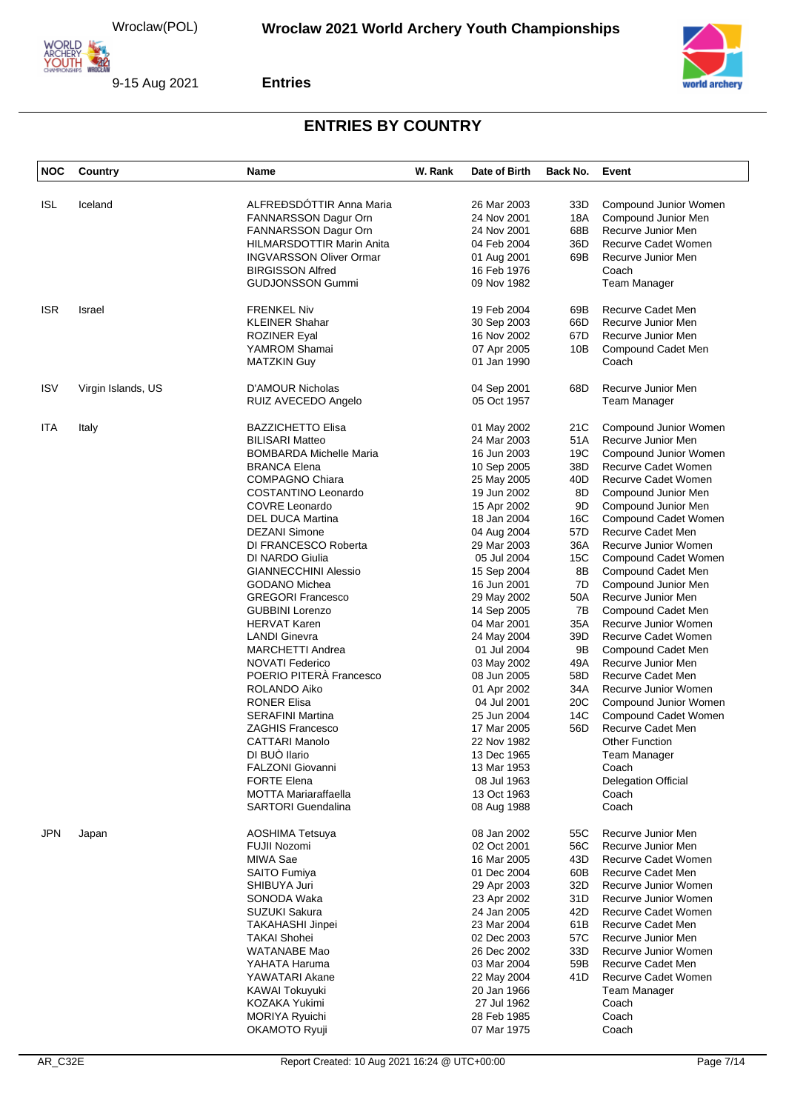

**Entries**



| <b>NOC</b> | Country            | Name                             | W. Rank | Date of Birth | Back No. | Event                      |
|------------|--------------------|----------------------------------|---------|---------------|----------|----------------------------|
|            |                    |                                  |         |               |          |                            |
| <b>ISL</b> | Iceland            | ALFREÐSDÓTTIR Anna Maria         |         | 26 Mar 2003   | 33D      | Compound Junior Women      |
|            |                    | FANNARSSON Dagur Orn             |         | 24 Nov 2001   | 18A      | Compound Junior Men        |
|            |                    | FANNARSSON Dagur Orn             |         | 24 Nov 2001   | 68B      | Recurve Junior Men         |
|            |                    | <b>HILMARSDOTTIR Marin Anita</b> |         | 04 Feb 2004   | 36D      | Recurve Cadet Women        |
|            |                    | <b>INGVARSSON Oliver Ormar</b>   |         | 01 Aug 2001   | 69B      | Recurve Junior Men         |
|            |                    |                                  |         |               |          |                            |
|            |                    | <b>BIRGISSON Alfred</b>          |         | 16 Feb 1976   |          | Coach                      |
|            |                    | <b>GUDJONSSON Gummi</b>          |         | 09 Nov 1982   |          | Team Manager               |
| <b>ISR</b> | <b>Israel</b>      | <b>FRENKEL Niv</b>               |         | 19 Feb 2004   | 69B      | Recurve Cadet Men          |
|            |                    | <b>KLEINER Shahar</b>            |         | 30 Sep 2003   | 66D      | Recurve Junior Men         |
|            |                    | <b>ROZINER Eyal</b>              |         | 16 Nov 2002   | 67D      | Recurve Junior Men         |
|            |                    | YAMROM Shamai                    |         | 07 Apr 2005   | 10B      | Compound Cadet Men         |
|            |                    | <b>MATZKIN Guy</b>               |         | 01 Jan 1990   |          | Coach                      |
|            |                    |                                  |         |               |          |                            |
| <b>ISV</b> | Virgin Islands, US | <b>D'AMOUR Nicholas</b>          |         | 04 Sep 2001   | 68D      | Recurve Junior Men         |
|            |                    | RUIZ AVECEDO Angelo              |         | 05 Oct 1957   |          | Team Manager               |
|            |                    |                                  |         |               |          |                            |
| <b>ITA</b> | Italy              | <b>BAZZICHETTO Elisa</b>         |         | 01 May 2002   | 21C      | Compound Junior Women      |
|            |                    | <b>BILISARI Matteo</b>           |         | 24 Mar 2003   | 51A      | Recurve Junior Men         |
|            |                    | <b>BOMBARDA Michelle Maria</b>   |         | 16 Jun 2003   | 19C      | Compound Junior Women      |
|            |                    | <b>BRANCA Elena</b>              |         | 10 Sep 2005   | 38D      | Recurve Cadet Women        |
|            |                    | <b>COMPAGNO Chiara</b>           |         | 25 May 2005   | 40D      | <b>Recurve Cadet Women</b> |
|            |                    | COSTANTINO Leonardo              |         | 19 Jun 2002   | 8D       | Compound Junior Men        |
|            |                    | <b>COVRE Leonardo</b>            |         | 15 Apr 2002   | 9D       | Compound Junior Men        |
|            |                    | <b>DEL DUCA Martina</b>          |         | 18 Jan 2004   | 16C      | Compound Cadet Women       |
|            |                    | <b>DEZANI Simone</b>             |         | 04 Aug 2004   | 57D      | Recurve Cadet Men          |
|            |                    | DI FRANCESCO Roberta             |         | 29 Mar 2003   | 36A      | Recurve Junior Women       |
|            |                    | DI NARDO Giulia                  |         | 05 Jul 2004   | 15C      | Compound Cadet Women       |
|            |                    |                                  |         |               |          |                            |
|            |                    | <b>GIANNECCHINI Alessio</b>      |         | 15 Sep 2004   | 8B       | Compound Cadet Men         |
|            |                    | <b>GODANO Michea</b>             |         | 16 Jun 2001   | 7D       | Compound Junior Men        |
|            |                    | <b>GREGORI Francesco</b>         |         | 29 May 2002   | 50A      | Recurve Junior Men         |
|            |                    | <b>GUBBINI Lorenzo</b>           |         | 14 Sep 2005   | 7В       | Compound Cadet Men         |
|            |                    | <b>HERVAT Karen</b>              |         | 04 Mar 2001   | 35A      | Recurve Junior Women       |
|            |                    | <b>LANDI Ginevra</b>             |         | 24 May 2004   | 39D      | Recurve Cadet Women        |
|            |                    | <b>MARCHETTI Andrea</b>          |         | 01 Jul 2004   | 9Β       | Compound Cadet Men         |
|            |                    | <b>NOVATI Federico</b>           |         | 03 May 2002   | 49A      | Recurve Junior Men         |
|            |                    | POERIO PITERÀ Francesco          |         | 08 Jun 2005   | 58D      | Recurve Cadet Men          |
|            |                    | <b>ROLANDO Aiko</b>              |         | 01 Apr 2002   | 34A      | Recurve Junior Women       |
|            |                    | <b>RONER Elisa</b>               |         | 04 Jul 2001   | 20C      | Compound Junior Women      |
|            |                    | <b>SERAFINI Martina</b>          |         |               | 14C      | Compound Cadet Women       |
|            |                    |                                  |         | 25 Jun 2004   |          |                            |
|            |                    | <b>ZAGHIS Francesco</b>          |         | 17 Mar 2005   | 56D      | Recurve Cadet Men          |
|            |                    | CATTARI Manolo                   |         | 22 Nov 1982   |          | <b>Other Function</b>      |
|            |                    | DI BUÒ llario                    |         | 13 Dec 1965   |          | Team Manager               |
|            |                    | <b>FALZONI Giovanni</b>          |         | 13 Mar 1953   |          | Coach                      |
|            |                    | <b>FORTE Elena</b>               |         | 08 Jul 1963   |          | <b>Delegation Official</b> |
|            |                    | <b>MOTTA Mariaraffaella</b>      |         | 13 Oct 1963   |          | Coach                      |
|            |                    | <b>SARTORI</b> Guendalina        |         | 08 Aug 1988   |          | Coach                      |
| <b>JPN</b> | Japan              | AOSHIMA Tetsuya                  |         | 08 Jan 2002   | 55C      | Recurve Junior Men         |
|            |                    |                                  |         |               |          |                            |
|            |                    | FUJII Nozomi                     |         | 02 Oct 2001   | 56C      | Recurve Junior Men         |
|            |                    | MIWA Sae                         |         | 16 Mar 2005   | 43D      | Recurve Cadet Women        |
|            |                    | <b>SAITO Fumiya</b>              |         | 01 Dec 2004   | 60B      | Recurve Cadet Men          |
|            |                    | SHIBUYA Juri                     |         | 29 Apr 2003   | 32D      | Recurve Junior Women       |
|            |                    | SONODA Waka                      |         | 23 Apr 2002   | 31D      | Recurve Junior Women       |
|            |                    | SUZUKI Sakura                    |         | 24 Jan 2005   | 42D      | Recurve Cadet Women        |
|            |                    | <b>TAKAHASHI Jinpei</b>          |         | 23 Mar 2004   | 61B      | Recurve Cadet Men          |
|            |                    | <b>TAKAI Shohei</b>              |         | 02 Dec 2003   | 57C      | Recurve Junior Men         |
|            |                    | <b>WATANABE Mao</b>              |         | 26 Dec 2002   | 33D      | Recurve Junior Women       |
|            |                    | YAHATA Haruma                    |         | 03 Mar 2004   | 59B      | Recurve Cadet Men          |
|            |                    | YAWATARI Akane                   |         | 22 May 2004   | 41D      | Recurve Cadet Women        |
|            |                    |                                  |         |               |          |                            |
|            |                    | KAWAI Tokuyuki                   |         | 20 Jan 1966   |          | Team Manager               |
|            |                    | KOZAKA Yukimi                    |         | 27 Jul 1962   |          | Coach                      |
|            |                    | <b>MORIYA Ryuichi</b>            |         | 28 Feb 1985   |          | Coach                      |
|            |                    | OKAMOTO Ryuji                    |         | 07 Mar 1975   |          | Coach                      |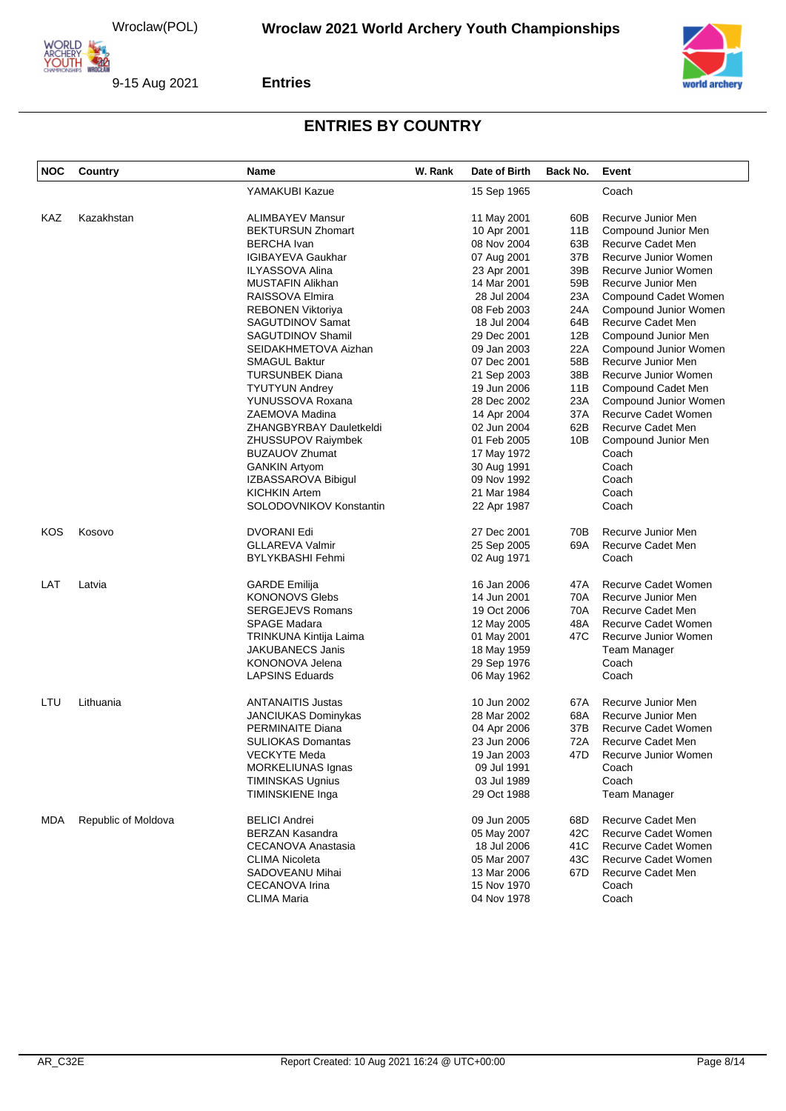



#### **Entries**

| <b>NOC</b> | Country             | <b>Name</b>                | W. Rank | Date of Birth | Back No. | Event                 |
|------------|---------------------|----------------------------|---------|---------------|----------|-----------------------|
|            |                     | YAMAKUBI Kazue             |         | 15 Sep 1965   |          | Coach                 |
| KAZ        | Kazakhstan          | <b>ALIMBAYEV Mansur</b>    |         | 11 May 2001   | 60B      | Recurve Junior Men    |
|            |                     | <b>BEKTURSUN Zhomart</b>   |         | 10 Apr 2001   | 11B      | Compound Junior Men   |
|            |                     | <b>BERCHA</b> Ivan         |         | 08 Nov 2004   | 63B      | Recurve Cadet Men     |
|            |                     | <b>IGIBAYEVA Gaukhar</b>   |         | 07 Aug 2001   | 37B      | Recurve Junior Women  |
|            |                     | ILYASSOVA Alina            |         | 23 Apr 2001   | 39B      | Recurve Junior Women  |
|            |                     | MUSTAFIN Alikhan           |         | 14 Mar 2001   | 59B      | Recurve Junior Men    |
|            |                     | RAISSOVA Elmira            |         | 28 Jul 2004   | 23A      | Compound Cadet Women  |
|            |                     | REBONEN Viktoriya          |         | 08 Feb 2003   | 24A      | Compound Junior Women |
|            |                     |                            |         |               |          |                       |
|            |                     | SAGUTDINOV Samat           |         | 18 Jul 2004   | 64B      | Recurve Cadet Men     |
|            |                     | SAGUTDINOV Shamil          |         | 29 Dec 2001   | 12B      | Compound Junior Men   |
|            |                     | SEIDAKHMETOVA Aizhan       |         | 09 Jan 2003   | 22A      | Compound Junior Women |
|            |                     | SMAGUL Baktur              |         | 07 Dec 2001   | 58B      | Recurve Junior Men    |
|            |                     | <b>TURSUNBEK Diana</b>     |         | 21 Sep 2003   | 38B      | Recurve Junior Women  |
|            |                     | <b>TYUTYUN Andrey</b>      |         | 19 Jun 2006   | 11B      | Compound Cadet Men    |
|            |                     | YUNUSSOVA Roxana           |         | 28 Dec 2002   | 23A      | Compound Junior Women |
|            |                     | ZAEMOVA Madina             |         | 14 Apr 2004   | 37A      | Recurve Cadet Women   |
|            |                     | ZHANGBYRBAY Dauletkeldi    |         | 02 Jun 2004   | 62B      | Recurve Cadet Men     |
|            |                     | ZHUSSUPOV Raiymbek         |         | 01 Feb 2005   | 10B      | Compound Junior Men   |
|            |                     | <b>BUZAUOV Zhumat</b>      |         | 17 May 1972   |          | Coach                 |
|            |                     | <b>GANKIN Artyom</b>       |         | 30 Aug 1991   |          | Coach                 |
|            |                     | IZBASSAROVA Bibigul        |         | 09 Nov 1992   |          | Coach                 |
|            |                     | KICHKIN Artem              |         | 21 Mar 1984   |          | Coach                 |
|            |                     | SOLODOVNIKOV Konstantin    |         | 22 Apr 1987   |          | Coach                 |
| KOS        | Kosovo              | <b>DVORANI Edi</b>         |         | 27 Dec 2001   | 70B      | Recurve Junior Men    |
|            |                     | <b>GLLAREVA Valmir</b>     |         | 25 Sep 2005   | 69A      | Recurve Cadet Men     |
|            |                     | <b>BYLYKBASHI Fehmi</b>    |         | 02 Aug 1971   |          | Coach                 |
| LAT        | Latvia              | <b>GARDE Emilija</b>       |         | 16 Jan 2006   | 47A      | Recurve Cadet Women   |
|            |                     | <b>KONONOVS Glebs</b>      |         | 14 Jun 2001   | 70A      | Recurve Junior Men    |
|            |                     | <b>SERGEJEVS Romans</b>    |         | 19 Oct 2006   | 70A      | Recurve Cadet Men     |
|            |                     | <b>SPAGE Madara</b>        |         | 12 May 2005   | 48A      | Recurve Cadet Women   |
|            |                     | TRINKUNA Kintija Laima     |         | 01 May 2001   | 47C      | Recurve Junior Women  |
|            |                     | <b>JAKUBANECS Janis</b>    |         | 18 May 1959   |          | <b>Team Manager</b>   |
|            |                     | KONONOVA Jelena            |         | 29 Sep 1976   |          | Coach                 |
|            |                     | <b>LAPSINS Eduards</b>     |         | 06 May 1962   |          | Coach                 |
| LTU        | Lithuania           | <b>ANTANAITIS Justas</b>   |         | 10 Jun 2002   | 67A      | Recurve Junior Men    |
|            |                     | <b>JANCIUKAS Dominykas</b> |         | 28 Mar 2002   | 68A      | Recurve Junior Men    |
|            |                     | PERMINAITE Diana           |         | 04 Apr 2006   | 37B      | Recurve Cadet Women   |
|            |                     | <b>SULIOKAS Domantas</b>   |         | 23 Jun 2006   | 72A      | Recurve Cadet Men     |
|            |                     | VECKYTE Meda               |         | 19 Jan 2003   | 47D      | Recurve Junior Women  |
|            |                     | <b>MORKELIUNAS Ignas</b>   |         | 09 Jul 1991   |          | Coach                 |
|            |                     | <b>TIMINSKAS Ugnius</b>    |         | 03 Jul 1989   |          | Coach                 |
|            |                     | <b>TIMINSKIENE Inga</b>    |         | 29 Oct 1988   |          | <b>Team Manager</b>   |
| MDA        | Republic of Moldova | <b>BELICI Andrei</b>       |         | 09 Jun 2005   | 68D      | Recurve Cadet Men     |
|            |                     | <b>BERZAN Kasandra</b>     |         | 05 May 2007   | 42C      | Recurve Cadet Women   |
|            |                     | CECANOVA Anastasia         |         | 18 Jul 2006   | 41C      | Recurve Cadet Women   |
|            |                     | <b>CLIMA Nicoleta</b>      |         | 05 Mar 2007   | 43C      | Recurve Cadet Women   |
|            |                     |                            |         |               |          |                       |
|            |                     | SADOVEANU Mihai            |         | 13 Mar 2006   | 67D      | Recurve Cadet Men     |
|            |                     | <b>CECANOVA Irina</b>      |         | 15 Nov 1970   |          | Coach                 |
|            |                     | <b>CLIMA Maria</b>         |         | 04 Nov 1978   |          | Coach                 |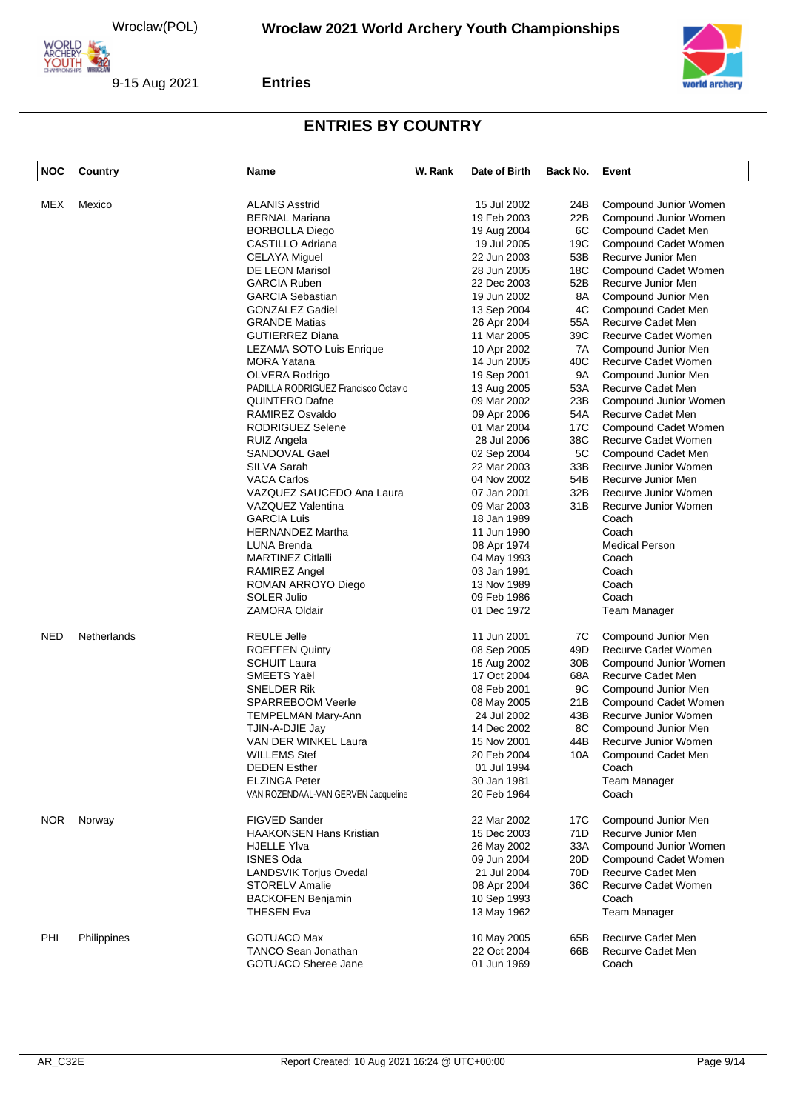

**Entries**



| NOC        | Country     | Name                                | W. Rank | Date of Birth | Back No.        | Event                 |
|------------|-------------|-------------------------------------|---------|---------------|-----------------|-----------------------|
|            | Mexico      |                                     |         |               |                 |                       |
| MEX        |             | <b>ALANIS Asstrid</b>               |         | 15 Jul 2002   | 24B             | Compound Junior Women |
|            |             | <b>BERNAL Mariana</b>               |         | 19 Feb 2003   | 22B             | Compound Junior Women |
|            |             | <b>BORBOLLA Diego</b>               |         | 19 Aug 2004   | 6C              | Compound Cadet Men    |
|            |             | CASTILLO Adriana                    |         | 19 Jul 2005   | 19C             | Compound Cadet Women  |
|            |             | <b>CELAYA Miguel</b>                |         | 22 Jun 2003   | 53B             | Recurve Junior Men    |
|            |             | DE LEON Marisol                     |         | 28 Jun 2005   | 18C             | Compound Cadet Women  |
|            |             | <b>GARCIA Ruben</b>                 |         | 22 Dec 2003   | 52B             | Recurve Junior Men    |
|            |             | <b>GARCIA Sebastian</b>             |         | 19 Jun 2002   | 8A              | Compound Junior Men   |
|            |             | GONZALEZ Gadiel                     |         | 13 Sep 2004   | 4C              | Compound Cadet Men    |
|            |             | <b>GRANDE Matias</b>                |         | 26 Apr 2004   | 55A             | Recurve Cadet Men     |
|            |             | <b>GUTIERREZ Diana</b>              |         | 11 Mar 2005   | 39C             | Recurve Cadet Women   |
|            |             | <b>LEZAMA SOTO Luis Enrique</b>     |         | 10 Apr 2002   | 7A              | Compound Junior Men   |
|            |             |                                     |         |               |                 |                       |
|            |             | <b>MORA Yatana</b>                  |         | 14 Jun 2005   | 40C             | Recurve Cadet Women   |
|            |             | OLVERA Rodrigo                      |         | 19 Sep 2001   | 9A              | Compound Junior Men   |
|            |             | PADILLA RODRIGUEZ Francisco Octavio |         | 13 Aug 2005   | 53A             | Recurve Cadet Men     |
|            |             | QUINTERO Dafne                      |         | 09 Mar 2002   | 23B             | Compound Junior Women |
|            |             | RAMIREZ Osvaldo                     |         | 09 Apr 2006   | 54A             | Recurve Cadet Men     |
|            |             | RODRIGUEZ Selene                    |         | 01 Mar 2004   | 17C             | Compound Cadet Women  |
|            |             | RUIZ Angela                         |         | 28 Jul 2006   | 38C             | Recurve Cadet Women   |
|            |             | SANDOVAL Gael                       |         | 02 Sep 2004   | 5C              | Compound Cadet Men    |
|            |             | SILVA Sarah                         |         | 22 Mar 2003   | 33B             | Recurve Junior Women  |
|            |             | <b>VACA Carlos</b>                  |         | 04 Nov 2002   | 54B             | Recurve Junior Men    |
|            |             |                                     |         |               |                 |                       |
|            |             | VAZQUEZ SAUCEDO Ana Laura           |         | 07 Jan 2001   | 32B             | Recurve Junior Women  |
|            |             | VAZQUEZ Valentina                   |         | 09 Mar 2003   | 31B             | Recurve Junior Women  |
|            |             | <b>GARCIA Luis</b>                  |         | 18 Jan 1989   |                 | Coach                 |
|            |             | <b>HERNANDEZ Martha</b>             |         | 11 Jun 1990   |                 | Coach                 |
|            |             | LUNA Brenda                         |         | 08 Apr 1974   |                 | <b>Medical Person</b> |
|            |             | <b>MARTINEZ Citialli</b>            |         | 04 May 1993   |                 | Coach                 |
|            |             | RAMIREZ Angel                       |         | 03 Jan 1991   |                 | Coach                 |
|            |             | ROMAN ARROYO Diego                  |         | 13 Nov 1989   |                 | Coach                 |
|            |             | <b>SOLER Julio</b>                  |         | 09 Feb 1986   |                 | Coach                 |
|            |             | ZAMORA Oldair                       |         | 01 Dec 1972   |                 | Team Manager          |
| <b>NED</b> | Netherlands | <b>REULE Jelle</b>                  |         | 11 Jun 2001   | 7C              | Compound Junior Men   |
|            |             | <b>ROEFFEN Quinty</b>               |         | 08 Sep 2005   | 49D             | Recurve Cadet Women   |
|            |             | <b>SCHUIT Laura</b>                 |         | 15 Aug 2002   | 30 <sub>B</sub> | Compound Junior Women |
|            |             | SMEETS Yaël                         |         |               |                 |                       |
|            |             |                                     |         | 17 Oct 2004   | 68A             | Recurve Cadet Men     |
|            |             | SNELDER Rik                         |         | 08 Feb 2001   | 9C              | Compound Junior Men   |
|            |             | <b>SPARREBOOM Veerle</b>            |         | 08 May 2005   | 21B             | Compound Cadet Women  |
|            |             | <b>TEMPELMAN Mary-Ann</b>           |         | 24 Jul 2002   | 43B             | Recurve Junior Women  |
|            |             | TJIN-A-DJIE Jay                     |         | 14 Dec 2002   | 8C              | Compound Junior Men   |
|            |             | VAN DER WINKEL Laura                |         | 15 Nov 2001   | 44B             | Recurve Junior Women  |
|            |             | <b>WILLEMS Stef</b>                 |         | 20 Feb 2004   | 10A             | Compound Cadet Men    |
|            |             | <b>DEDEN Esther</b>                 |         | 01 Jul 1994   |                 | Coach                 |
|            |             | <b>ELZINGA Peter</b>                |         | 30 Jan 1981   |                 | Team Manager          |
|            |             | VAN ROZENDAAL-VAN GERVEN Jacqueline |         | 20 Feb 1964   |                 | Coach                 |
| NOR.       | Norway      | <b>FIGVED Sander</b>                |         | 22 Mar 2002   | 17C             | Compound Junior Men   |
|            |             | <b>HAAKONSEN Hans Kristian</b>      |         | 15 Dec 2003   | 71D             | Recurve Junior Men    |
|            |             | <b>HJELLE YIva</b>                  |         |               |                 |                       |
|            |             |                                     |         | 26 May 2002   | 33A             | Compound Junior Women |
|            |             | <b>ISNES Oda</b>                    |         | 09 Jun 2004   | 20D             | Compound Cadet Women  |
|            |             | <b>LANDSVIK Torjus Ovedal</b>       |         | 21 Jul 2004   | 70D             | Recurve Cadet Men     |
|            |             | STORELV Amalie                      |         | 08 Apr 2004   | 36C             | Recurve Cadet Women   |
|            |             | <b>BACKOFEN Benjamin</b>            |         | 10 Sep 1993   |                 | Coach                 |
|            |             | <b>THESEN Eva</b>                   |         | 13 May 1962   |                 | <b>Team Manager</b>   |
| PHI        | Philippines | <b>GOTUACO Max</b>                  |         | 10 May 2005   | 65B             | Recurve Cadet Men     |
|            |             | <b>TANCO Sean Jonathan</b>          |         | 22 Oct 2004   | 66B             | Recurve Cadet Men     |
|            |             | <b>GOTUACO Sheree Jane</b>          |         | 01 Jun 1969   |                 | Coach                 |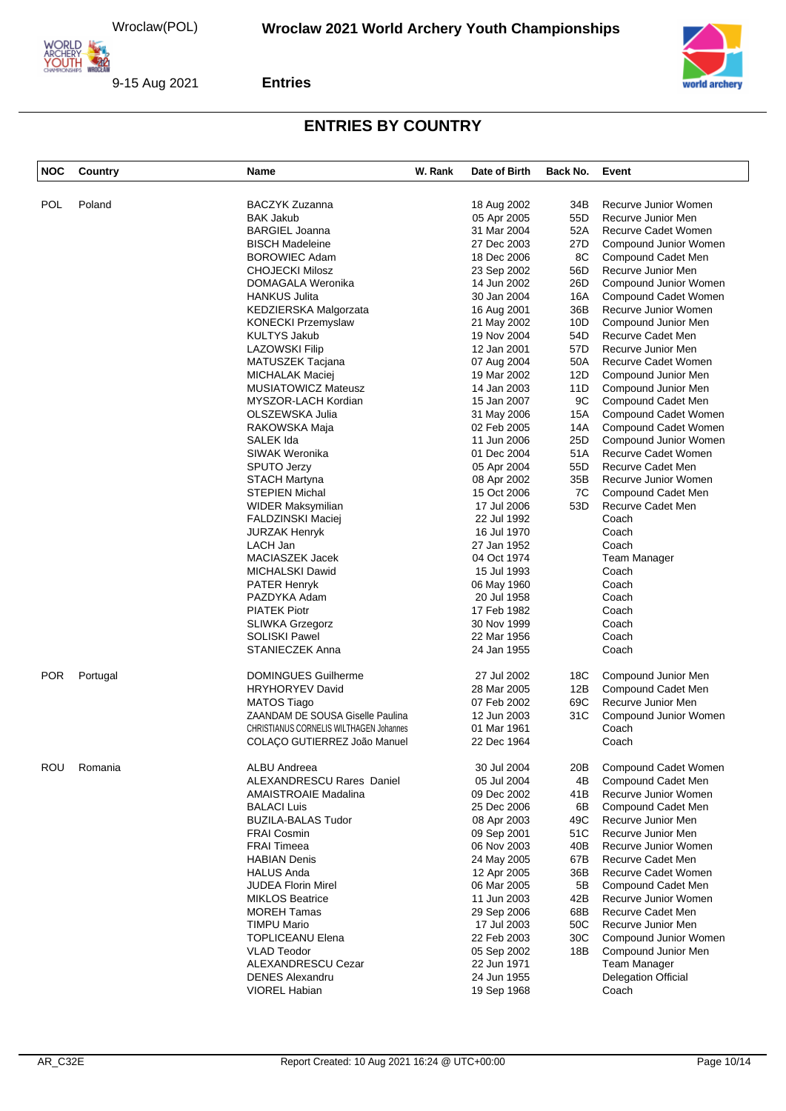

9-15 Aug 2021



#### **Entries**

| <b>NOC</b> | Country  | Name                                           | W. Rank | Date of Birth | Back No. | Event                      |
|------------|----------|------------------------------------------------|---------|---------------|----------|----------------------------|
| <b>POL</b> | Poland   | <b>BACZYK Zuzanna</b>                          |         | 18 Aug 2002   | 34B      | Recurve Junior Women       |
|            |          | <b>BAK Jakub</b>                               |         |               | 55D      | Recurve Junior Men         |
|            |          |                                                |         | 05 Apr 2005   |          |                            |
|            |          | <b>BARGIEL Joanna</b>                          |         | 31 Mar 2004   | 52A      | Recurve Cadet Women        |
|            |          | <b>BISCH Madeleine</b>                         |         | 27 Dec 2003   | 27D      | Compound Junior Women      |
|            |          | <b>BOROWIEC Adam</b>                           |         | 18 Dec 2006   | 8C       | Compound Cadet Men         |
|            |          | <b>CHOJECKI Milosz</b>                         |         | 23 Sep 2002   | 56D      | Recurve Junior Men         |
|            |          | DOMAGALA Weronika                              |         | 14 Jun 2002   | 26D      | Compound Junior Women      |
|            |          | <b>HANKUS Julita</b>                           |         | 30 Jan 2004   | 16A      | Compound Cadet Women       |
|            |          | KEDZIERSKA Malgorzata                          |         | 16 Aug 2001   | 36B      | Recurve Junior Women       |
|            |          | <b>KONECKI Przemyslaw</b>                      |         | 21 May 2002   | 10D      | Compound Junior Men        |
|            |          | <b>KULTYS Jakub</b>                            |         | 19 Nov 2004   | 54D      | Recurve Cadet Men          |
|            |          | <b>LAZOWSKI Filip</b>                          |         | 12 Jan 2001   | 57D      | Recurve Junior Men         |
|            |          | MATUSZEK Tacjana                               |         | 07 Aug 2004   | 50A      | Recurve Cadet Women        |
|            |          | MICHALAK Maciej                                |         | 19 Mar 2002   | 12D      | Compound Junior Men        |
|            |          | <b>MUSIATOWICZ Mateusz</b>                     |         | 14 Jan 2003   | 11D      | Compound Junior Men        |
|            |          | MYSZOR-LACH Kordian                            |         | 15 Jan 2007   | 9C       | Compound Cadet Men         |
|            |          |                                                |         |               |          |                            |
|            |          | OLSZEWSKA Julia                                |         | 31 May 2006   | 15A      | Compound Cadet Women       |
|            |          | RAKOWSKA Maja                                  |         | 02 Feb 2005   | 14A      | Compound Cadet Women       |
|            |          | SALEK Ida                                      |         | 11 Jun 2006   | 25D      | Compound Junior Women      |
|            |          | SIWAK Weronika                                 |         | 01 Dec 2004   | 51A      | Recurve Cadet Women        |
|            |          | <b>SPUTO Jerzy</b>                             |         | 05 Apr 2004   | 55D      | Recurve Cadet Men          |
|            |          | <b>STACH Martyna</b>                           |         | 08 Apr 2002   | 35B      | Recurve Junior Women       |
|            |          | <b>STEPIEN Michal</b>                          |         | 15 Oct 2006   | 7C       | Compound Cadet Men         |
|            |          | WIDER Maksymilian                              |         | 17 Jul 2006   | 53D      | Recurve Cadet Men          |
|            |          | FALDZINSKI Maciej                              |         | 22 Jul 1992   |          | Coach                      |
|            |          | <b>JURZAK Henryk</b>                           |         | 16 Jul 1970   |          | Coach                      |
|            |          | LACH Jan                                       |         | 27 Jan 1952   |          | Coach                      |
|            |          | MACIASZEK Jacek                                |         | 04 Oct 1974   |          | Team Manager               |
|            |          | MICHALSKI Dawid                                |         | 15 Jul 1993   |          | Coach                      |
|            |          | <b>PATER Henryk</b>                            |         | 06 May 1960   |          | Coach                      |
|            |          | PAZDYKA Adam                                   |         | 20 Jul 1958   |          | Coach                      |
|            |          | <b>PIATEK Piotr</b>                            |         |               |          |                            |
|            |          |                                                |         | 17 Feb 1982   |          | Coach                      |
|            |          | <b>SLIWKA Grzegorz</b>                         |         | 30 Nov 1999   |          | Coach                      |
|            |          | <b>SOLISKI Pawel</b>                           |         | 22 Mar 1956   |          | Coach                      |
|            |          | <b>STANIECZEK Anna</b>                         |         | 24 Jan 1955   |          | Coach                      |
| <b>POR</b> | Portugal | <b>DOMINGUES Guilherme</b>                     |         | 27 Jul 2002   | 18C      | Compound Junior Men        |
|            |          | <b>HRYHORYEV David</b>                         |         | 28 Mar 2005   | 12B      | Compound Cadet Men         |
|            |          | <b>MATOS Tiago</b>                             |         | 07 Feb 2002   | 69C      | Recurve Junior Men         |
|            |          | ZAANDAM DE SOUSA Giselle Paulina               |         | 12 Jun 2003   | 31C      | Compound Junior Women      |
|            |          | <b>CHRISTIANUS CORNELIS WILTHAGEN Johannes</b> |         | 01 Mar 1961   |          | Coach                      |
|            |          | COLAÇO GUTIERREZ João Manuel                   |         | 22 Dec 1964   |          | Coach                      |
| ROU        | Romania  | <b>ALBU Andreea</b>                            |         | 30 Jul 2004   | 20B      | Compound Cadet Women       |
|            |          | ALEXANDRESCU Rares Daniel                      |         | 05 Jul 2004   | 4B       | Compound Cadet Men         |
|            |          |                                                |         |               |          |                            |
|            |          | AMAISTROAIE Madalina                           |         | 09 Dec 2002   | 41B      | Recurve Junior Women       |
|            |          | <b>BALACI Luis</b>                             |         | 25 Dec 2006   | 6B       | Compound Cadet Men         |
|            |          | <b>BUZILA-BALAS Tudor</b>                      |         | 08 Apr 2003   | 49C      | Recurve Junior Men         |
|            |          | <b>FRAI Cosmin</b>                             |         | 09 Sep 2001   | 51C      | Recurve Junior Men         |
|            |          | <b>FRAI Timeea</b>                             |         | 06 Nov 2003   | 40B      | Recurve Junior Women       |
|            |          | <b>HABIAN Denis</b>                            |         | 24 May 2005   | 67B      | Recurve Cadet Men          |
|            |          | <b>HALUS Anda</b>                              |         | 12 Apr 2005   | 36B      | Recurve Cadet Women        |
|            |          | <b>JUDEA Florin Mirel</b>                      |         | 06 Mar 2005   | 5B       | Compound Cadet Men         |
|            |          | <b>MIKLOS Beatrice</b>                         |         | 11 Jun 2003   | 42B      | Recurve Junior Women       |
|            |          | <b>MOREH Tamas</b>                             |         | 29 Sep 2006   | 68B      | Recurve Cadet Men          |
|            |          | <b>TIMPU Mario</b>                             |         | 17 Jul 2003   | 50C      | Recurve Junior Men         |
|            |          | <b>TOPLICEANU Elena</b>                        |         | 22 Feb 2003   | 30C      | Compound Junior Women      |
|            |          | <b>VLAD Teodor</b>                             |         | 05 Sep 2002   | 18B      | Compound Junior Men        |
|            |          | ALEXANDRESCU Cezar                             |         | 22 Jun 1971   |          | Team Manager               |
|            |          | <b>DENES Alexandru</b>                         |         | 24 Jun 1955   |          |                            |
|            |          |                                                |         |               |          | <b>Delegation Official</b> |
|            |          | VIOREL Habian                                  |         | 19 Sep 1968   |          | Coach                      |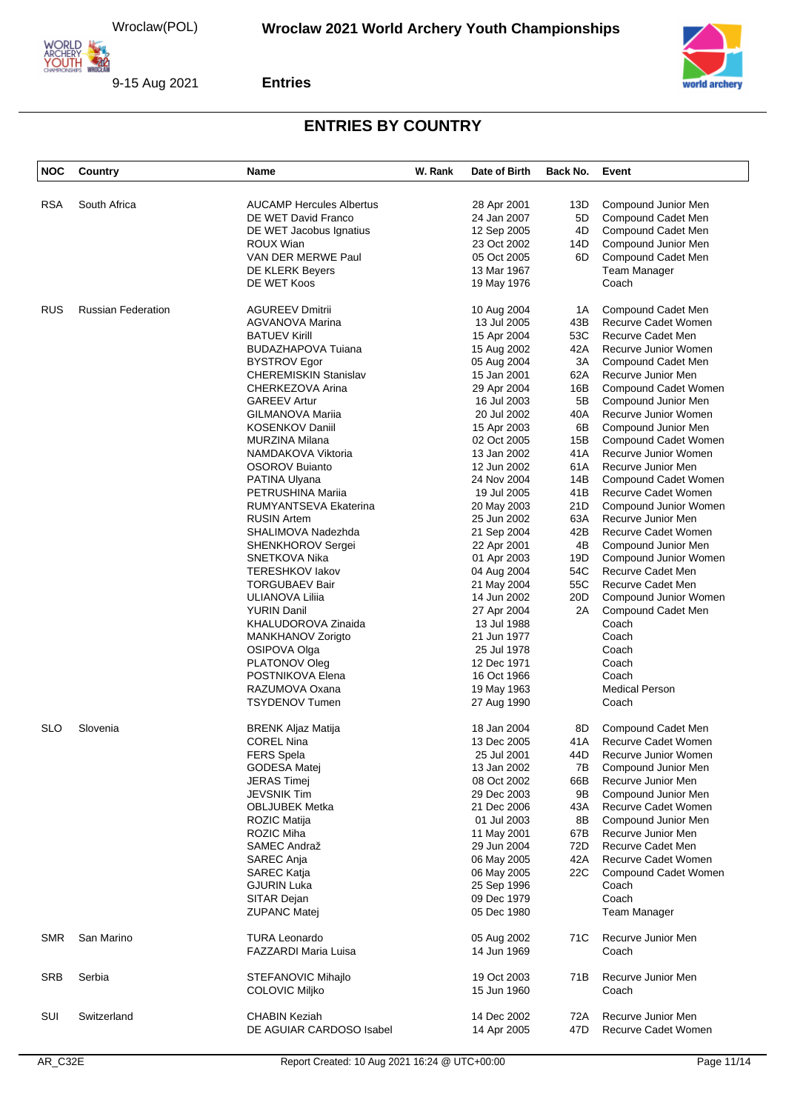

9-15 Aug 2021



#### **Entries**

| <b>NOC</b> | Country                   | Name                            | W. Rank | Date of Birth | Back No. | Event                      |
|------------|---------------------------|---------------------------------|---------|---------------|----------|----------------------------|
|            |                           |                                 |         |               |          |                            |
| <b>RSA</b> | South Africa              | <b>AUCAMP Hercules Albertus</b> |         | 28 Apr 2001   | 13D      | Compound Junior Men        |
|            |                           | DE WET David Franco             |         | 24 Jan 2007   | 5D       | Compound Cadet Men         |
|            |                           | DE WET Jacobus Ignatius         |         | 12 Sep 2005   | 4D       | Compound Cadet Men         |
|            |                           | ROUX Wian                       |         | 23 Oct 2002   | 14D      | Compound Junior Men        |
|            |                           | VAN DER MERWE Paul              |         | 05 Oct 2005   | 6D       | Compound Cadet Men         |
|            |                           | DE KLERK Beyers                 |         |               |          | Team Manager               |
|            |                           |                                 |         | 13 Mar 1967   |          |                            |
|            |                           | DE WET Koos                     |         | 19 May 1976   |          | Coach                      |
| <b>RUS</b> | <b>Russian Federation</b> | <b>AGUREEV Dmitrii</b>          |         | 10 Aug 2004   | 1A       | Compound Cadet Men         |
|            |                           | AGVANOVA Marina                 |         | 13 Jul 2005   | 43B      | Recurve Cadet Women        |
|            |                           | <b>BATUEV Kirill</b>            |         | 15 Apr 2004   | 53C      | Recurve Cadet Men          |
|            |                           | <b>BUDAZHAPOVA Tuiana</b>       |         | 15 Aug 2002   | 42A      | Recurve Junior Women       |
|            |                           | <b>BYSTROV Egor</b>             |         | 05 Aug 2004   | 3A       | Compound Cadet Men         |
|            |                           | <b>CHEREMISKIN Stanislav</b>    |         | 15 Jan 2001   | 62A      | Recurve Junior Men         |
|            |                           |                                 |         |               |          |                            |
|            |                           | CHERKEZOVA Arina                |         | 29 Apr 2004   | 16B      | Compound Cadet Women       |
|            |                           | <b>GAREEV Artur</b>             |         | 16 Jul 2003   | 5B       | Compound Junior Men        |
|            |                           | GILMANOVA Mariia                |         | 20 Jul 2002   | 40A      | Recurve Junior Women       |
|            |                           | <b>KOSENKOV Daniil</b>          |         | 15 Apr 2003   | 6B       | Compound Junior Men        |
|            |                           | <b>MURZINA Milana</b>           |         | 02 Oct 2005   | 15B      | Compound Cadet Women       |
|            |                           | NAMDAKOVA Viktoria              |         | 13 Jan 2002   | 41A      | Recurve Junior Women       |
|            |                           | OSOROV Buianto                  |         | 12 Jun 2002   | 61A      | Recurve Junior Men         |
|            |                           |                                 |         |               |          |                            |
|            |                           | PATINA Ulyana                   |         | 24 Nov 2004   | 14B      | Compound Cadet Women       |
|            |                           | PETRUSHINA Mariia               |         | 19 Jul 2005   | 41B      | Recurve Cadet Women        |
|            |                           | RUMYANTSEVA Ekaterina           |         | 20 May 2003   | 21D      | Compound Junior Women      |
|            |                           | <b>RUSIN Artem</b>              |         | 25 Jun 2002   | 63A      | Recurve Junior Men         |
|            |                           | SHALIMOVA Nadezhda              |         | 21 Sep 2004   | 42B      | Recurve Cadet Women        |
|            |                           | SHENKHOROV Sergei               |         | 22 Apr 2001   | 4B       | Compound Junior Men        |
|            |                           | SNETKOVA Nika                   |         | 01 Apr 2003   | 19D      | Compound Junior Women      |
|            |                           | <b>TERESHKOV lakov</b>          |         | 04 Aug 2004   | 54C      | Recurve Cadet Men          |
|            |                           |                                 |         |               |          |                            |
|            |                           | <b>TORGUBAEV Bair</b>           |         | 21 May 2004   | 55C      | Recurve Cadet Men          |
|            |                           | ULIANOVA Liliia                 |         | 14 Jun 2002   | 20D      | Compound Junior Women      |
|            |                           | <b>YURIN Danil</b>              |         | 27 Apr 2004   | 2A       | Compound Cadet Men         |
|            |                           | KHALUDOROVA Zinaida             |         | 13 Jul 1988   |          | Coach                      |
|            |                           | MANKHANOV Zorigto               |         | 21 Jun 1977   |          | Coach                      |
|            |                           | OSIPOVA Olga                    |         | 25 Jul 1978   |          | Coach                      |
|            |                           | PLATONOV Oleg                   |         | 12 Dec 1971   |          | Coach                      |
|            |                           |                                 |         |               |          |                            |
|            |                           | POSTNIKOVA Elena                |         | 16 Oct 1966   |          | Coach                      |
|            |                           | RAZUMOVA Oxana                  |         | 19 May 1963   |          | <b>Medical Person</b>      |
|            |                           | <b>TSYDENOV Tumen</b>           |         | 27 Aug 1990   |          | Coach                      |
| <b>SLO</b> | Slovenia                  | <b>BRENK Aljaz Matija</b>       |         | 18 Jan 2004   | 8D       | Compound Cadet Men         |
|            |                           | <b>COREL Nina</b>               |         | 13 Dec 2005   | 41A      | <b>Recurve Cadet Women</b> |
|            |                           | FERS Spela                      |         | 25 Jul 2001   | 44D      | Recurve Junior Women       |
|            |                           | GODESA Matej                    |         | 13 Jan 2002   | 7B       | Compound Junior Men        |
|            |                           |                                 |         |               |          | Recurve Junior Men         |
|            |                           | <b>JERAS Timej</b>              |         | 08 Oct 2002   | 66B      |                            |
|            |                           | JEVSNIK Tim                     |         | 29 Dec 2003   | 9Β       | Compound Junior Men        |
|            |                           | <b>OBLJUBEK Metka</b>           |         | 21 Dec 2006   | 43A      | Recurve Cadet Women        |
|            |                           | <b>ROZIC Matija</b>             |         | 01 Jul 2003   | 8Β       | Compound Junior Men        |
|            |                           | ROZIC Miha                      |         | 11 May 2001   | 67B      | Recurve Junior Men         |
|            |                           | SAMEC Andraž                    |         | 29 Jun 2004   | 72D      | Recurve Cadet Men          |
|            |                           | SAREC Anja                      |         | 06 May 2005   | 42A      | Recurve Cadet Women        |
|            |                           |                                 |         |               |          |                            |
|            |                           | SAREC Katja                     |         | 06 May 2005   | 22C      | Compound Cadet Women       |
|            |                           | <b>GJURIN Luka</b>              |         | 25 Sep 1996   |          | Coach                      |
|            |                           | SITAR Dejan                     |         | 09 Dec 1979   |          | Coach                      |
|            |                           | <b>ZUPANC Matej</b>             |         | 05 Dec 1980   |          | <b>Team Manager</b>        |
| <b>SMR</b> | San Marino                | <b>TURA Leonardo</b>            |         | 05 Aug 2002   | 71C      | Recurve Junior Men         |
|            |                           | <b>FAZZARDI Maria Luisa</b>     |         | 14 Jun 1969   |          | Coach                      |
|            |                           |                                 |         |               |          |                            |
| SRB        | Serbia                    | STEFANOVIC Mihajlo              |         | 19 Oct 2003   | 71B      | Recurve Junior Men         |
|            |                           | <b>COLOVIC Miljko</b>           |         | 15 Jun 1960   |          | Coach                      |
| SUI        | Switzerland               | <b>CHABIN Keziah</b>            |         | 14 Dec 2002   | 72A      | Recurve Junior Men         |
|            |                           | DE AGUIAR CARDOSO Isabel        |         | 14 Apr 2005   | 47D      | Recurve Cadet Women        |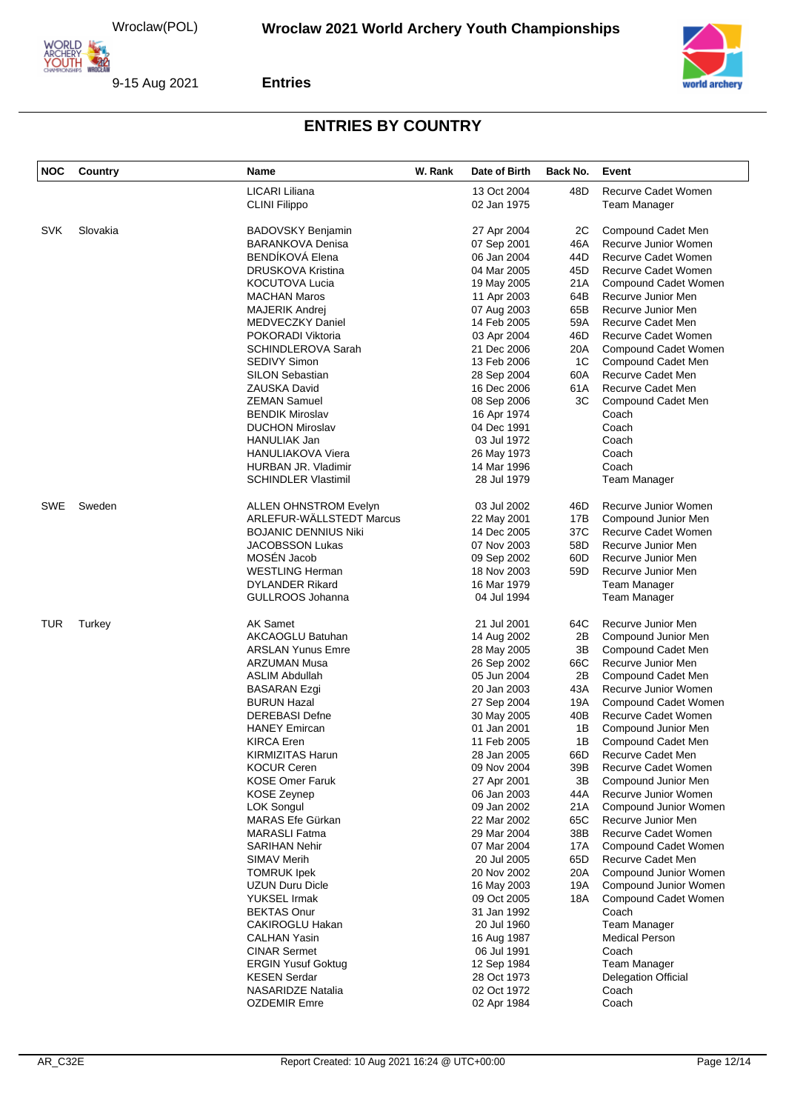



#### **Entries**

| <b>NOC</b> | Country  | Name                         | W. Rank | Date of Birth | Back No. | Event                      |
|------------|----------|------------------------------|---------|---------------|----------|----------------------------|
|            |          | LICARI Liliana               |         | 13 Oct 2004   | 48D      | Recurve Cadet Women        |
|            |          | <b>CLINI Filippo</b>         |         | 02 Jan 1975   |          | Team Manager               |
|            |          |                              |         |               |          |                            |
| <b>SVK</b> | Slovakia | <b>BADOVSKY Benjamin</b>     |         | 27 Apr 2004   | 2C       | Compound Cadet Men         |
|            |          | <b>BARANKOVA Denisa</b>      |         | 07 Sep 2001   | 46A      | Recurve Junior Women       |
|            |          | BENDÍKOVÁ Elena              |         | 06 Jan 2004   | 44D      | Recurve Cadet Women        |
|            |          | <b>DRUSKOVA Kristina</b>     |         | 04 Mar 2005   | 45D      | Recurve Cadet Women        |
|            |          | <b>KOCUTOVA Lucia</b>        |         | 19 May 2005   | 21A      | Compound Cadet Women       |
|            |          | <b>MACHAN Maros</b>          |         | 11 Apr 2003   | 64B      | Recurve Junior Men         |
|            |          | MAJERIK Andrej               |         | 07 Aug 2003   | 65B      | Recurve Junior Men         |
|            |          | <b>MEDVECZKY Daniel</b>      |         | 14 Feb 2005   | 59A      | Recurve Cadet Men          |
|            |          | POKORADI Viktoria            |         | 03 Apr 2004   | 46D      | <b>Recurve Cadet Women</b> |
|            |          | <b>SCHINDLEROVA Sarah</b>    |         | 21 Dec 2006   | 20A      | Compound Cadet Women       |
|            |          | <b>SEDIVY Simon</b>          |         | 13 Feb 2006   | 1C       | Compound Cadet Men         |
|            |          | <b>SILON Sebastian</b>       |         | 28 Sep 2004   | 60A      | Recurve Cadet Men          |
|            |          | <b>ZAUSKA David</b>          |         | 16 Dec 2006   | 61A      | Recurve Cadet Men          |
|            |          | <b>ZEMAN Samuel</b>          |         | 08 Sep 2006   | ЗC       | Compound Cadet Men         |
|            |          | <b>BENDIK Miroslav</b>       |         | 16 Apr 1974   |          | Coach                      |
|            |          | <b>DUCHON Miroslav</b>       |         | 04 Dec 1991   |          | Coach                      |
|            |          | HANULIAK Jan                 |         | 03 Jul 1972   |          | Coach                      |
|            |          | <b>HANULIAKOVA Viera</b>     |         | 26 May 1973   |          | Coach                      |
|            |          | HURBAN JR. Vladimir          |         | 14 Mar 1996   |          | Coach                      |
|            |          | <b>SCHINDLER Vlastimil</b>   |         | 28 Jul 1979   |          | Team Manager               |
| <b>SWE</b> | Sweden   | <b>ALLEN OHNSTROM Evelyn</b> |         | 03 Jul 2002   | 46D      | Recurve Junior Women       |
|            |          | ARLEFUR-WÄLLSTEDT Marcus     |         | 22 May 2001   | 17B      | Compound Junior Men        |
|            |          | <b>BOJANIC DENNIUS Niki</b>  |         | 14 Dec 2005   | 37C      | Recurve Cadet Women        |
|            |          | <b>JACOBSSON Lukas</b>       |         | 07 Nov 2003   | 58D      | Recurve Junior Men         |
|            |          | MOSÉN Jacob                  |         | 09 Sep 2002   | 60D      | Recurve Junior Men         |
|            |          | <b>WESTLING Herman</b>       |         | 18 Nov 2003   | 59D      | Recurve Junior Men         |
|            |          | <b>DYLANDER Rikard</b>       |         | 16 Mar 1979   |          | Team Manager               |
|            |          | GULLROOS Johanna             |         | 04 Jul 1994   |          | Team Manager               |
| TUR        | Turkey   | <b>AK Samet</b>              |         | 21 Jul 2001   | 64C      | Recurve Junior Men         |
|            |          | <b>AKCAOGLU Batuhan</b>      |         | 14 Aug 2002   | 2B       | Compound Junior Men        |
|            |          | <b>ARSLAN Yunus Emre</b>     |         | 28 May 2005   | 3B       | Compound Cadet Men         |
|            |          | <b>ARZUMAN Musa</b>          |         | 26 Sep 2002   | 66C      | Recurve Junior Men         |
|            |          | <b>ASLIM Abdullah</b>        |         | 05 Jun 2004   | 2B       | Compound Cadet Men         |
|            |          | <b>BASARAN Ezgi</b>          |         | 20 Jan 2003   | 43A      | Recurve Junior Women       |
|            |          | <b>BURUN Hazal</b>           |         | 27 Sep 2004   | 19A      | Compound Cadet Women       |
|            |          | <b>DEREBASI Defne</b>        |         | 30 May 2005   | 40B      | Recurve Cadet Women        |
|            |          | <b>HANEY Emircan</b>         |         | 01 Jan 2001   | 1Β       | Compound Junior Men        |
|            |          | <b>KIRCA Eren</b>            |         | 11 Feb 2005   | 1В       | Compound Cadet Men         |
|            |          | KIRMIZITAS Harun             |         | 28 Jan 2005   | 66D      | Recurve Cadet Men          |
|            |          | <b>KOCUR Ceren</b>           |         | 09 Nov 2004   | 39B      | Recurve Cadet Women        |
|            |          | <b>KOSE Omer Faruk</b>       |         | 27 Apr 2001   | 3В       | Compound Junior Men        |
|            |          | <b>KOSE Zeynep</b>           |         | 06 Jan 2003   | 44A      | Recurve Junior Women       |
|            |          | LOK Songul                   |         | 09 Jan 2002   | 21A      | Compound Junior Women      |
|            |          | MARAS Efe Gürkan             |         | 22 Mar 2002   | 65C      | Recurve Junior Men         |
|            |          | <b>MARASLI Fatma</b>         |         | 29 Mar 2004   | 38B      | Recurve Cadet Women        |
|            |          | <b>SARIHAN Nehir</b>         |         | 07 Mar 2004   | 17A      | Compound Cadet Women       |
|            |          | SIMAV Merih                  |         | 20 Jul 2005   | 65D      | Recurve Cadet Men          |
|            |          | <b>TOMRUK Ipek</b>           |         | 20 Nov 2002   | 20A      | Compound Junior Women      |
|            |          | <b>UZUN Duru Dicle</b>       |         | 16 May 2003   | 19A      | Compound Junior Women      |
|            |          | YUKSEL Irmak                 |         | 09 Oct 2005   | 18A      | Compound Cadet Women       |
|            |          | <b>BEKTAS Onur</b>           |         | 31 Jan 1992   |          | Coach                      |
|            |          | <b>CAKIROGLU Hakan</b>       |         | 20 Jul 1960   |          | <b>Team Manager</b>        |
|            |          | <b>CALHAN Yasin</b>          |         | 16 Aug 1987   |          | <b>Medical Person</b>      |
|            |          | <b>CINAR Sermet</b>          |         | 06 Jul 1991   |          | Coach                      |
|            |          | <b>ERGIN Yusuf Goktug</b>    |         | 12 Sep 1984   |          | <b>Team Manager</b>        |
|            |          | <b>KESEN Serdar</b>          |         | 28 Oct 1973   |          | <b>Delegation Official</b> |
|            |          | <b>NASARIDZE Natalia</b>     |         | 02 Oct 1972   |          | Coach                      |
|            |          | <b>OZDEMIR Emre</b>          |         | 02 Apr 1984   |          | Coach                      |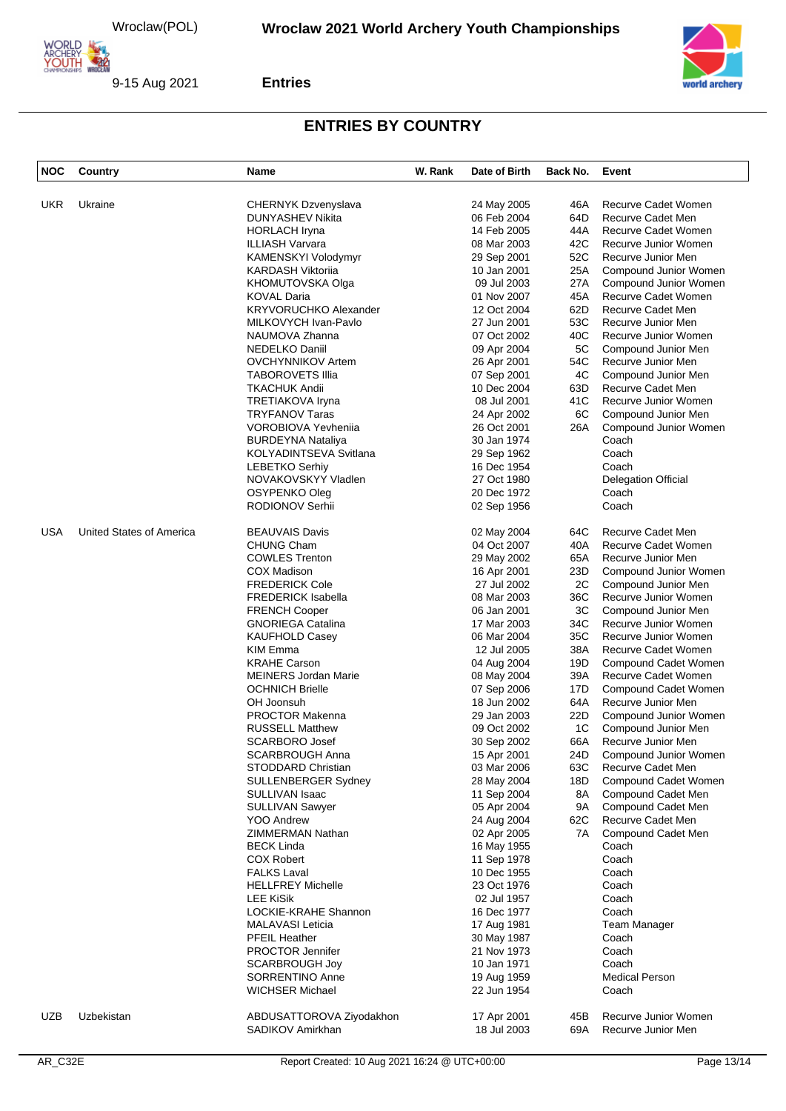

9-15 Aug 2021

**Entries**



| <b>NOC</b> | Country                  | Name                                             | W. Rank | Date of Birth              | Back No.  | Event                                       |
|------------|--------------------------|--------------------------------------------------|---------|----------------------------|-----------|---------------------------------------------|
|            |                          |                                                  |         |                            |           |                                             |
| <b>UKR</b> | Ukraine                  | <b>CHERNYK Dzvenyslava</b>                       |         | 24 May 2005                | 46A       | Recurve Cadet Women                         |
|            |                          | DUNYASHEV Nikita                                 |         | 06 Feb 2004                | 64D       | Recurve Cadet Men                           |
|            |                          | <b>HORLACH Iryna</b>                             |         | 14 Feb 2005                | 44A       | Recurve Cadet Women                         |
|            |                          | ILLIASH Varvara                                  |         | 08 Mar 2003                | 42C       | Recurve Junior Women                        |
|            |                          | KAMENSKYI Volodymyr                              |         | 29 Sep 2001                | 52C       | Recurve Junior Men                          |
|            |                          | <b>KARDASH Viktoriia</b>                         |         | 10 Jan 2001                | 25A       | Compound Junior Women                       |
|            |                          | KHOMUTOVSKA Olga                                 |         | 09 Jul 2003                | 27A       | Compound Junior Women                       |
|            |                          | <b>KOVAL Daria</b>                               |         | 01 Nov 2007                | 45A       | Recurve Cadet Women                         |
|            |                          | <b>KRYVORUCHKO Alexander</b>                     |         | 12 Oct 2004                | 62D       | Recurve Cadet Men                           |
|            |                          | MILKOVYCH Ivan-Pavlo                             |         | 27 Jun 2001                | 53C       | Recurve Junior Men                          |
|            |                          | NAUMOVA Zhanna                                   |         | 07 Oct 2002                | 40C       | Recurve Junior Women                        |
|            |                          | NEDELKO Daniil                                   |         | 09 Apr 2004                | 5C        | Compound Junior Men                         |
|            |                          | <b>OVCHYNNIKOV Artem</b>                         |         | 26 Apr 2001                | 54C       | Recurve Junior Men                          |
|            |                          | <b>TABOROVETS Illia</b>                          |         | 07 Sep 2001                | 4C        | Compound Junior Men                         |
|            |                          | <b>TKACHUK Andii</b>                             |         | 10 Dec 2004                | 63D       | Recurve Cadet Men                           |
|            |                          | TRETIAKOVA Iryna                                 |         | 08 Jul 2001                | 41C       | Recurve Junior Women                        |
|            |                          | <b>TRYFANOV Taras</b>                            |         | 24 Apr 2002                | 6C        | Compound Junior Men                         |
|            |                          | VOROBIOVA Yevhenija                              |         | 26 Oct 2001                | 26A       | Compound Junior Women                       |
|            |                          | <b>BURDEYNA Nataliya</b>                         |         | 30 Jan 1974                |           | Coach                                       |
|            |                          | KOLYADINTSEVA Svitlana                           |         | 29 Sep 1962                |           | Coach                                       |
|            |                          | <b>LEBETKO Serhiv</b>                            |         | 16 Dec 1954                |           | Coach                                       |
|            |                          | NOVAKOVSKYY Vladlen                              |         | 27 Oct 1980                |           | <b>Delegation Official</b>                  |
|            |                          | OSYPENKO Oleg                                    |         | 20 Dec 1972                |           | Coach                                       |
|            |                          | RODIONOV Serhii                                  |         | 02 Sep 1956                |           | Coach                                       |
|            |                          |                                                  |         |                            |           |                                             |
| <b>USA</b> | United States of America | <b>BEAUVAIS Davis</b>                            |         | 02 May 2004                | 64C       | Recurve Cadet Men                           |
|            |                          | <b>CHUNG Cham</b>                                |         | 04 Oct 2007                | 40A       | Recurve Cadet Women                         |
|            |                          | <b>COWLES Trenton</b>                            |         | 29 May 2002                | 65A       | Recurve Junior Men                          |
|            |                          | <b>COX Madison</b>                               |         | 16 Apr 2001                | 23D       | Compound Junior Women                       |
|            |                          | <b>FREDERICK Cole</b>                            |         | 27 Jul 2002                | 2C        | Compound Junior Men                         |
|            |                          | <b>FREDERICK Isabella</b>                        |         | 08 Mar 2003<br>06 Jan 2001 | 36C<br>ЗC | Recurve Junior Women                        |
|            |                          | <b>FRENCH Cooper</b><br><b>GNORIEGA Catalina</b> |         | 17 Mar 2003                | 34C       | Compound Junior Men<br>Recurve Junior Women |
|            |                          | <b>KAUFHOLD Casey</b>                            |         | 06 Mar 2004                | 35C       | Recurve Junior Women                        |
|            |                          | <b>KIM Emma</b>                                  |         | 12 Jul 2005                | 38A       | Recurve Cadet Women                         |
|            |                          | <b>KRAHE Carson</b>                              |         | 04 Aug 2004                | 19D       | Compound Cadet Women                        |
|            |                          | <b>MEINERS Jordan Marie</b>                      |         | 08 May 2004                | 39A       | Recurve Cadet Women                         |
|            |                          | <b>OCHNICH Brielle</b>                           |         | 07 Sep 2006                | 17D       | Compound Cadet Women                        |
|            |                          | OH Joonsuh                                       |         | 18 Jun 2002                | 64A       | Recurve Junior Men                          |
|            |                          | <b>PROCTOR Makenna</b>                           |         | 29 Jan 2003                | 22D       | Compound Junior Women                       |
|            |                          | <b>RUSSELL Matthew</b>                           |         | 09 Oct 2002                | 1C        | Compound Junior Men                         |
|            |                          | <b>SCARBORO Josef</b>                            |         | 30 Sep 2002                | 66A       | Recurve Junior Men                          |
|            |                          | SCARBROUGH Anna                                  |         | 15 Apr 2001                | 24D       | Compound Junior Women                       |
|            |                          | STODDARD Christian                               |         | 03 Mar 2006                | 63C       | Recurve Cadet Men                           |
|            |                          | SULLENBERGER Sydney                              |         | 28 May 2004                | 18D       | Compound Cadet Women                        |
|            |                          | SULLIVAN Isaac                                   |         | 11 Sep 2004                | 8A        | Compound Cadet Men                          |
|            |                          | <b>SULLIVAN Sawyer</b>                           |         | 05 Apr 2004                | 9A        | Compound Cadet Men                          |
|            |                          | YOO Andrew                                       |         | 24 Aug 2004                | 62C       | Recurve Cadet Men                           |
|            |                          | ZIMMERMAN Nathan                                 |         | 02 Apr 2005                | 7A        | Compound Cadet Men                          |
|            |                          | <b>BECK Linda</b>                                |         | 16 May 1955                |           | Coach                                       |
|            |                          | <b>COX Robert</b>                                |         | 11 Sep 1978                |           | Coach                                       |
|            |                          | <b>FALKS Laval</b>                               |         | 10 Dec 1955                |           | Coach                                       |
|            |                          | <b>HELLFREY Michelle</b>                         |         | 23 Oct 1976                |           | Coach                                       |
|            |                          | <b>LEE KiSik</b>                                 |         | 02 Jul 1957                |           | Coach                                       |
|            |                          | LOCKIE-KRAHE Shannon                             |         | 16 Dec 1977                |           | Coach                                       |
|            |                          | <b>MALAVASI Leticia</b>                          |         | 17 Aug 1981                |           | Team Manager                                |
|            |                          | <b>PFEIL Heather</b>                             |         | 30 May 1987                |           | Coach                                       |
|            |                          | PROCTOR Jennifer                                 |         | 21 Nov 1973                |           | Coach                                       |
|            |                          | <b>SCARBROUGH Joy</b>                            |         | 10 Jan 1971                |           | Coach                                       |
|            |                          | SORRENTINO Anne                                  |         | 19 Aug 1959                |           | <b>Medical Person</b>                       |
|            |                          | <b>WICHSER Michael</b>                           |         | 22 Jun 1954                |           | Coach                                       |
| <b>UZB</b> | Uzbekistan               | ABDUSATTOROVA Ziyodakhon                         |         | 17 Apr 2001                | 45B       | Recurve Junior Women                        |
|            |                          | SADIKOV Amirkhan                                 |         | 18 Jul 2003                | 69A       | Recurve Junior Men                          |
|            |                          |                                                  |         |                            |           |                                             |